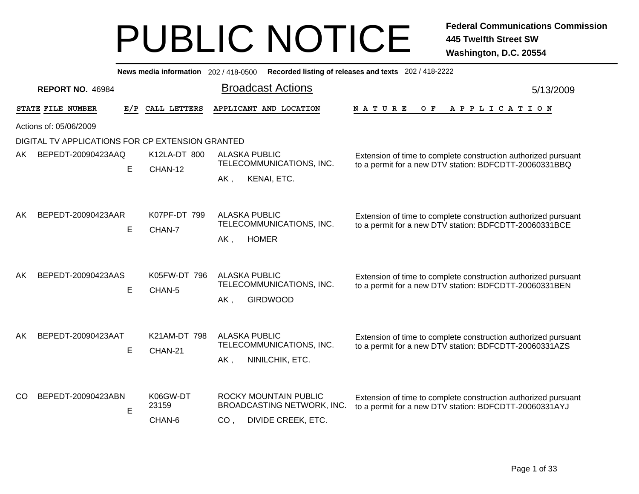|                                                  |                         |              | News media information 202 / 418-0500            |                                                                                        | Recorded listing of releases and texts 202 / 418-2222                                                                    |           |  |  |
|--------------------------------------------------|-------------------------|--------------|--------------------------------------------------|----------------------------------------------------------------------------------------|--------------------------------------------------------------------------------------------------------------------------|-----------|--|--|
|                                                  | <b>REPORT NO. 46984</b> |              |                                                  | <b>Broadcast Actions</b>                                                               |                                                                                                                          | 5/13/2009 |  |  |
|                                                  | STATE FILE NUMBER       | E/P          | CALL LETTERS                                     | APPLICANT AND LOCATION                                                                 | <b>NATURE</b><br>O F<br>A P P L I C A T I O N                                                                            |           |  |  |
|                                                  | Actions of: 05/06/2009  |              |                                                  |                                                                                        |                                                                                                                          |           |  |  |
| DIGITAL TV APPLICATIONS FOR CP EXTENSION GRANTED |                         |              |                                                  |                                                                                        |                                                                                                                          |           |  |  |
| BEPEDT-20090423AAQ<br>AK.                        |                         | K12LA-DT 800 | <b>ALASKA PUBLIC</b><br>TELECOMMUNICATIONS, INC. | Extension of time to complete construction authorized pursuant                         |                                                                                                                          |           |  |  |
|                                                  |                         | E            | CHAN-12                                          |                                                                                        | to a permit for a new DTV station: BDFCDTT-20060331BBQ                                                                   |           |  |  |
|                                                  |                         |              |                                                  | AK,<br>KENAI, ETC.                                                                     |                                                                                                                          |           |  |  |
| AK.                                              | BEPEDT-20090423AAR      |              | K07PF-DT 799                                     | <b>ALASKA PUBLIC</b><br>TELECOMMUNICATIONS, INC.                                       | Extension of time to complete construction authorized pursuant<br>to a permit for a new DTV station: BDFCDTT-20060331BCE |           |  |  |
|                                                  |                         | E<br>CHAN-7  |                                                  | <b>HOMER</b><br>AK,                                                                    |                                                                                                                          |           |  |  |
| AK                                               | BEPEDT-20090423AAS      | E            | K05FW-DT 796<br>CHAN-5                           | <b>ALASKA PUBLIC</b><br>TELECOMMUNICATIONS, INC.<br><b>GIRDWOOD</b><br>AK,             | Extension of time to complete construction authorized pursuant<br>to a permit for a new DTV station: BDFCDTT-20060331BEN |           |  |  |
| AK                                               | BEPEDT-20090423AAT      | Е            | K21AM-DT 798<br>CHAN-21                          | <b>ALASKA PUBLIC</b><br>TELECOMMUNICATIONS, INC.<br>AK,<br>NINILCHIK, ETC.             | Extension of time to complete construction authorized pursuant<br>to a permit for a new DTV station: BDFCDTT-20060331AZS |           |  |  |
| CO.                                              | BEPEDT-20090423ABN      | E            | K06GW-DT<br>23159<br>CHAN-6                      | <b>ROCKY MOUNTAIN PUBLIC</b><br>BROADCASTING NETWORK, INC.<br>DIVIDE CREEK, ETC.<br>CO | Extension of time to complete construction authorized pursuant<br>to a permit for a new DTV station: BDFCDTT-20060331AYJ |           |  |  |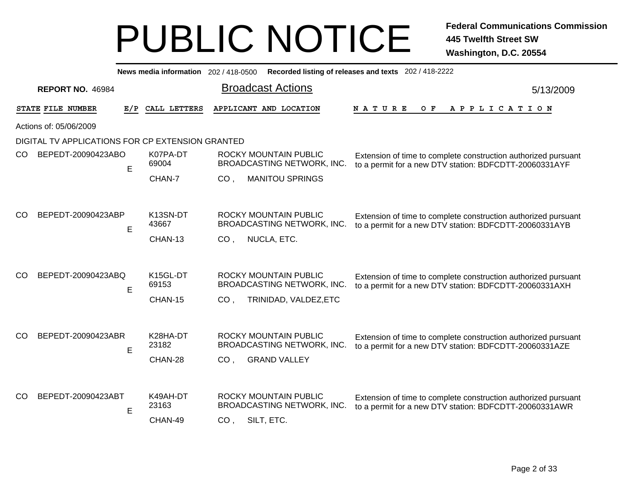|               |                                                  |     |                   |                 | News media information 202 / 418-0500 Recorded listing of releases and texts 202 / 418-2222 |                                                                                                                          |           |
|---------------|--------------------------------------------------|-----|-------------------|-----------------|---------------------------------------------------------------------------------------------|--------------------------------------------------------------------------------------------------------------------------|-----------|
|               | <b>REPORT NO. 46984</b>                          |     |                   |                 | <b>Broadcast Actions</b>                                                                    |                                                                                                                          | 5/13/2009 |
|               | STATE FILE NUMBER                                | E/P | CALL LETTERS      |                 | APPLICANT AND LOCATION                                                                      | <b>NATURE</b><br>O F<br>A P P L I C A T I O N                                                                            |           |
|               | Actions of: 05/06/2009                           |     |                   |                 |                                                                                             |                                                                                                                          |           |
|               | DIGITAL TV APPLICATIONS FOR CP EXTENSION GRANTED |     |                   |                 |                                                                                             |                                                                                                                          |           |
| CO.           | BEPEDT-20090423ABO                               | E   | K07PA-DT<br>69004 |                 | ROCKY MOUNTAIN PUBLIC<br>BROADCASTING NETWORK, INC.                                         | Extension of time to complete construction authorized pursuant<br>to a permit for a new DTV station: BDFCDTT-20060331AYF |           |
|               |                                                  |     | CHAN-7            | CO <sub>1</sub> | <b>MANITOU SPRINGS</b>                                                                      |                                                                                                                          |           |
| CO            | BEPEDT-20090423ABP                               |     | K13SN-DT          |                 | ROCKY MOUNTAIN PUBLIC                                                                       |                                                                                                                          |           |
|               |                                                  | E   | 43667             |                 | BROADCASTING NETWORK, INC.                                                                  | Extension of time to complete construction authorized pursuant<br>to a permit for a new DTV station: BDFCDTT-20060331AYB |           |
|               |                                                  |     | CHAN-13           | CO <sub>1</sub> | NUCLA, ETC.                                                                                 |                                                                                                                          |           |
|               |                                                  |     |                   |                 |                                                                                             |                                                                                                                          |           |
| CO            | BEPEDT-20090423ABQ                               | E   | K15GL-DT<br>69153 |                 | ROCKY MOUNTAIN PUBLIC<br>BROADCASTING NETWORK, INC.                                         | Extension of time to complete construction authorized pursuant<br>to a permit for a new DTV station: BDFCDTT-20060331AXH |           |
|               |                                                  |     | CHAN-15           | CO <sub>1</sub> | TRINIDAD, VALDEZ, ETC                                                                       |                                                                                                                          |           |
|               |                                                  |     |                   |                 |                                                                                             |                                                                                                                          |           |
| <sub>CO</sub> | BEPEDT-20090423ABR                               | Е   | K28HA-DT<br>23182 |                 | <b>ROCKY MOUNTAIN PUBLIC</b><br>BROADCASTING NETWORK, INC.                                  | Extension of time to complete construction authorized pursuant<br>to a permit for a new DTV station: BDFCDTT-20060331AZE |           |
|               |                                                  |     | CHAN-28           | CO <sub>1</sub> | <b>GRAND VALLEY</b>                                                                         |                                                                                                                          |           |
|               |                                                  |     |                   |                 |                                                                                             |                                                                                                                          |           |
| CO            | BEPEDT-20090423ABT                               | E   | K49AH-DT<br>23163 |                 | ROCKY MOUNTAIN PUBLIC<br>BROADCASTING NETWORK, INC.                                         | Extension of time to complete construction authorized pursuant<br>to a permit for a new DTV station: BDFCDTT-20060331AWR |           |
|               |                                                  |     | CHAN-49           | CO <sub>1</sub> | SILT, ETC.                                                                                  |                                                                                                                          |           |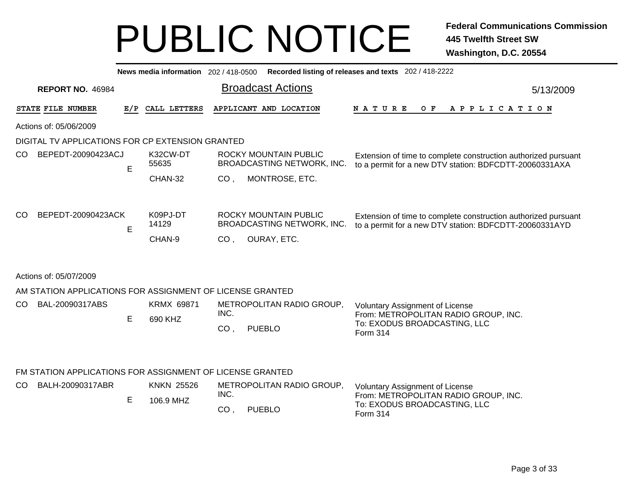|     |                                                           |                                                                                                                                                                                                                 | News media information 202 / 418-0500 |                 |                                                            | Recorded listing of releases and texts 202 / 418-2222                                                                    |           |
|-----|-----------------------------------------------------------|-----------------------------------------------------------------------------------------------------------------------------------------------------------------------------------------------------------------|---------------------------------------|-----------------|------------------------------------------------------------|--------------------------------------------------------------------------------------------------------------------------|-----------|
|     | <b>REPORT NO. 46984</b>                                   |                                                                                                                                                                                                                 |                                       |                 | <b>Broadcast Actions</b>                                   |                                                                                                                          | 5/13/2009 |
|     | STATE FILE NUMBER                                         |                                                                                                                                                                                                                 | E/P CALL LETTERS                      |                 | APPLICANT AND LOCATION                                     | <b>NATURE</b><br>OF APPLICATION                                                                                          |           |
|     | Actions of: 05/06/2009                                    |                                                                                                                                                                                                                 |                                       |                 |                                                            |                                                                                                                          |           |
|     | DIGITAL TV APPLICATIONS FOR CP EXTENSION GRANTED          |                                                                                                                                                                                                                 |                                       |                 |                                                            |                                                                                                                          |           |
| CO  | BEPEDT-20090423ACJ                                        | E                                                                                                                                                                                                               | K32CW-DT<br>55635                     |                 | <b>ROCKY MOUNTAIN PUBLIC</b><br>BROADCASTING NETWORK, INC. | Extension of time to complete construction authorized pursuant<br>to a permit for a new DTV station: BDFCDTT-20060331AXA |           |
|     |                                                           |                                                                                                                                                                                                                 | CHAN-32                               | CO <sub>1</sub> | MONTROSE, ETC.                                             |                                                                                                                          |           |
|     |                                                           |                                                                                                                                                                                                                 |                                       |                 |                                                            |                                                                                                                          |           |
| CO  |                                                           |                                                                                                                                                                                                                 | 14129                                 |                 |                                                            | to a permit for a new DTV station: BDFCDTT-20060331AYD                                                                   |           |
|     |                                                           | BEPEDT-20090423ACK<br>K09PJ-DT<br><b>ROCKY MOUNTAIN PUBLIC</b><br>Extension of time to complete construction authorized pursuant<br>BROADCASTING NETWORK, INC.<br>E<br>CHAN-9<br>OURAY, ETC.<br>CO <sub>1</sub> |                                       |                 |                                                            |                                                                                                                          |           |
|     | Actions of: 05/07/2009                                    |                                                                                                                                                                                                                 |                                       |                 |                                                            |                                                                                                                          |           |
|     | AM STATION APPLICATIONS FOR ASSIGNMENT OF LICENSE GRANTED |                                                                                                                                                                                                                 |                                       |                 |                                                            |                                                                                                                          |           |
| CO. | BAL-20090317ABS                                           | E                                                                                                                                                                                                               | KRMX 69871<br>690 KHZ                 | INC.            | METROPOLITAN RADIO GROUP,                                  | Voluntary Assignment of License<br>From: METROPOLITAN RADIO GROUP, INC.<br>To: EXODUS BROADCASTING, LLC                  |           |
|     |                                                           |                                                                                                                                                                                                                 |                                       | CO,             | <b>PUEBLO</b>                                              | <b>Form 314</b>                                                                                                          |           |
|     | FM STATION APPLICATIONS FOR ASSIGNMENT OF LICENSE GRANTED |                                                                                                                                                                                                                 |                                       |                 |                                                            |                                                                                                                          |           |
| CO. | BALH-20090317ABR                                          |                                                                                                                                                                                                                 | <b>KNKN 25526</b>                     | INC.            | METROPOLITAN RADIO GROUP,                                  | Voluntary Assignment of License                                                                                          |           |
|     |                                                           | E                                                                                                                                                                                                               | 106.9 MHZ                             | CO,             | <b>PUEBLO</b>                                              | From: METROPOLITAN RADIO GROUP, INC.<br>To: EXODUS BROADCASTING, LLC<br>Form 314                                         |           |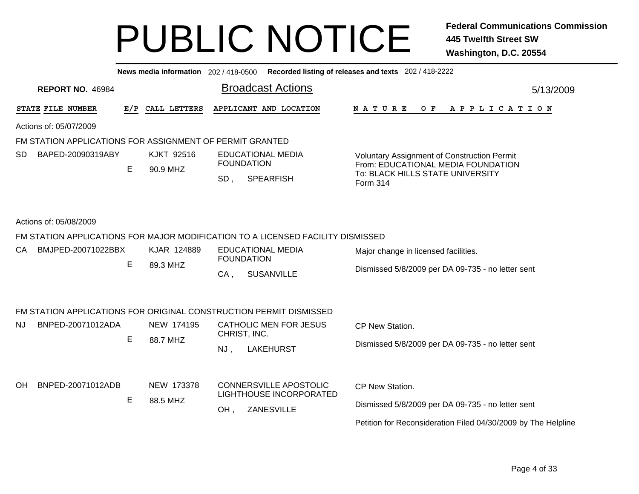|     |                         |     | News media information 202 / 418-0500                    |                   |                                                                                 | Recorded listing of releases and texts 202 / 418-2222                             |                 |  |
|-----|-------------------------|-----|----------------------------------------------------------|-------------------|---------------------------------------------------------------------------------|-----------------------------------------------------------------------------------|-----------------|--|
|     | <b>REPORT NO. 46984</b> |     |                                                          |                   | <b>Broadcast Actions</b>                                                        |                                                                                   | 5/13/2009       |  |
|     | STATE FILE NUMBER       | E/P | CALL LETTERS                                             |                   | APPLICANT AND LOCATION                                                          | N A T U R E<br>O F<br>A P P L I C A T I O N                                       |                 |  |
|     | Actions of: 05/07/2009  |     |                                                          |                   |                                                                                 |                                                                                   |                 |  |
|     |                         |     | FM STATION APPLICATIONS FOR ASSIGNMENT OF PERMIT GRANTED |                   |                                                                                 |                                                                                   |                 |  |
| SD. | BAPED-20090319ABY       | Е   | <b>KJKT 92516</b>                                        | <b>FOUNDATION</b> | <b>EDUCATIONAL MEDIA</b>                                                        | Voluntary Assignment of Construction Permit<br>From: EDUCATIONAL MEDIA FOUNDATION |                 |  |
|     |                         |     | 90.9 MHZ                                                 | SD,               | <b>SPEARFISH</b>                                                                | To: BLACK HILLS STATE UNIVERSITY<br>Form 314                                      |                 |  |
|     | Actions of: 05/08/2009  |     |                                                          |                   |                                                                                 |                                                                                   |                 |  |
|     |                         |     |                                                          |                   | FM STATION APPLICATIONS FOR MAJOR MODIFICATION TO A LICENSED FACILITY DISMISSED |                                                                                   |                 |  |
| CA. | BMJPED-20071022BBX      |     | KJAR 124889                                              | <b>FOUNDATION</b> | <b>EDUCATIONAL MEDIA</b>                                                        | Major change in licensed facilities.                                              |                 |  |
|     |                         | Е   | 89.3 MHZ                                                 | $CA$ .            | <b>SUSANVILLE</b>                                                               | Dismissed 5/8/2009 per DA 09-735 - no letter sent                                 |                 |  |
|     |                         |     |                                                          |                   | FM STATION APPLICATIONS FOR ORIGINAL CONSTRUCTION PERMIT DISMISSED              |                                                                                   |                 |  |
| NJ. | BNPED-20071012ADA       |     | NEW 174195                                               | CHRIST, INC.      | <b>CATHOLIC MEN FOR JESUS</b>                                                   | CP New Station.                                                                   |                 |  |
|     |                         | E   | 88.7 MHZ                                                 | NJ,               | <b>LAKEHURST</b>                                                                | Dismissed 5/8/2009 per DA 09-735 - no letter sent                                 |                 |  |
| OΗ  | BNPED-20071012ADB       |     |                                                          | NEW 173378        |                                                                                 | <b>CONNERSVILLE APOSTOLIC</b>                                                     | CP New Station. |  |
|     |                         | Е   | 88.5 MHZ                                                 |                   | LIGHTHOUSE INCORPORATED                                                         | Dismissed 5/8/2009 per DA 09-735 - no letter sent                                 |                 |  |
|     |                         |     |                                                          | OH,               | ZANESVILLE                                                                      | Petition for Reconsideration Filed 04/30/2009 by The Helpline                     |                 |  |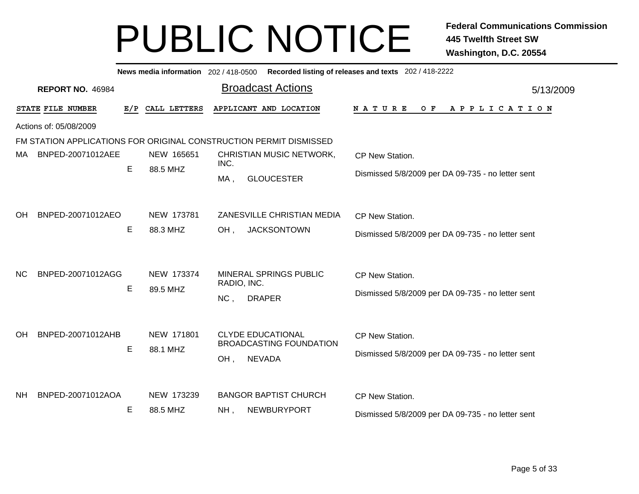|                |                         |     |                        | News media information 202 / 418-0500 Recorded listing of releases and texts 202 / 418-2222 |                                                                      |
|----------------|-------------------------|-----|------------------------|---------------------------------------------------------------------------------------------|----------------------------------------------------------------------|
|                | <b>REPORT NO. 46984</b> |     |                        | <b>Broadcast Actions</b>                                                                    | 5/13/2009                                                            |
|                | STATE FILE NUMBER       | E/P | CALL LETTERS           | APPLICANT AND LOCATION                                                                      | O F<br><b>NATURE</b><br>A P P L I C A T I O N                        |
|                | Actions of: 05/08/2009  |     |                        |                                                                                             |                                                                      |
|                |                         |     |                        | FM STATION APPLICATIONS FOR ORIGINAL CONSTRUCTION PERMIT DISMISSED                          |                                                                      |
| MA.            | BNPED-20071012AEE       |     | NEW 165651             | CHRISTIAN MUSIC NETWORK,<br>INC.                                                            | CP New Station.                                                      |
|                |                         | Е   | 88.5 MHZ               | <b>GLOUCESTER</b><br>$MA$ ,                                                                 | Dismissed 5/8/2009 per DA 09-735 - no letter sent                    |
| <b>OH</b>      | BNPED-20071012AEO       |     | NEW 173781             | ZANESVILLE CHRISTIAN MEDIA                                                                  | CP New Station.                                                      |
|                |                         | E   | 88.3 MHZ               | $OH$ ,<br><b>JACKSONTOWN</b>                                                                | Dismissed 5/8/2009 per DA 09-735 - no letter sent                    |
| N <sub>C</sub> | BNPED-20071012AGG       | E   | NEW 173374<br>89.5 MHZ | MINERAL SPRINGS PUBLIC<br>RADIO, INC.<br>NC,<br><b>DRAPER</b>                               | CP New Station.<br>Dismissed 5/8/2009 per DA 09-735 - no letter sent |
| <b>OH</b>      | BNPED-20071012AHB       | E   | NEW 171801<br>88.1 MHZ | <b>CLYDE EDUCATIONAL</b><br><b>BROADCASTING FOUNDATION</b><br><b>NEVADA</b><br>OH,          | CP New Station.<br>Dismissed 5/8/2009 per DA 09-735 - no letter sent |
| <b>NH</b>      | BNPED-20071012AOA       | Е   | NEW 173239<br>88.5 MHZ | <b>BANGOR BAPTIST CHURCH</b><br>NEWBURYPORT<br>$NH$ ,                                       | CP New Station.<br>Dismissed 5/8/2009 per DA 09-735 - no letter sent |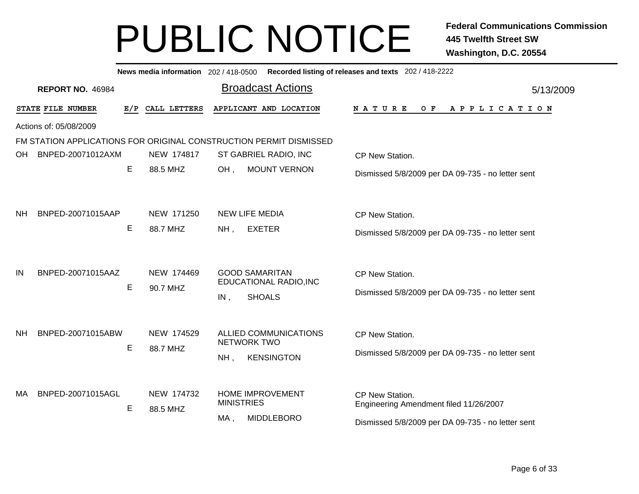|                                |   |                        | News media information 202 / 418-0500 Recorded listing of releases and texts 202 / 418-2222 |                                                                      |
|--------------------------------|---|------------------------|---------------------------------------------------------------------------------------------|----------------------------------------------------------------------|
| <b>REPORT NO. 46984</b>        |   |                        | <b>Broadcast Actions</b>                                                                    | 5/13/2009                                                            |
| STATE FILE NUMBER              |   | E/P CALL LETTERS       | APPLICANT AND LOCATION                                                                      | N A T U R E<br>OF APPLICATION                                        |
| Actions of: 05/08/2009         |   |                        |                                                                                             |                                                                      |
|                                |   |                        | FM STATION APPLICATIONS FOR ORIGINAL CONSTRUCTION PERMIT DISMISSED                          |                                                                      |
| BNPED-20071012AXM<br>OH        |   | NEW 174817             | ST GABRIEL RADIO, INC                                                                       | CP New Station.                                                      |
|                                | Е | 88.5 MHZ               | <b>MOUNT VERNON</b><br>OH,                                                                  | Dismissed 5/8/2009 per DA 09-735 - no letter sent                    |
|                                |   |                        |                                                                                             |                                                                      |
| <b>NH</b><br>BNPED-20071015AAP |   | NEW 171250             | <b>NEW LIFE MEDIA</b>                                                                       | CP New Station.                                                      |
|                                | Е | 88.7 MHZ               | <b>EXETER</b><br>$NH$ ,                                                                     | Dismissed 5/8/2009 per DA 09-735 - no letter sent                    |
| IN<br>BNPED-20071015AAZ        | Е | NEW 174469<br>90.7 MHZ | <b>GOOD SAMARITAN</b><br>EDUCATIONAL RADIO, INC<br><b>SHOALS</b><br>IN,                     | CP New Station.<br>Dismissed 5/8/2009 per DA 09-735 - no letter sent |
| BNPED-20071015ABW<br><b>NH</b> |   | NEW 174529             | ALLIED COMMUNICATIONS<br><b>NETWORK TWO</b>                                                 | CP New Station.                                                      |
|                                | Е | 88.7 MHZ               | <b>KENSINGTON</b><br>NH,                                                                    | Dismissed 5/8/2009 per DA 09-735 - no letter sent                    |
| BNPED-20071015AGL<br>MA        | Е | NEW 174732<br>88.5 MHZ | <b>HOME IMPROVEMENT</b><br><b>MINISTRIES</b>                                                | CP New Station.<br>Engineering Amendment filed 11/26/2007            |
|                                |   |                        | <b>MIDDLEBORO</b><br>MA,                                                                    | Dismissed 5/8/2009 per DA 09-735 - no letter sent                    |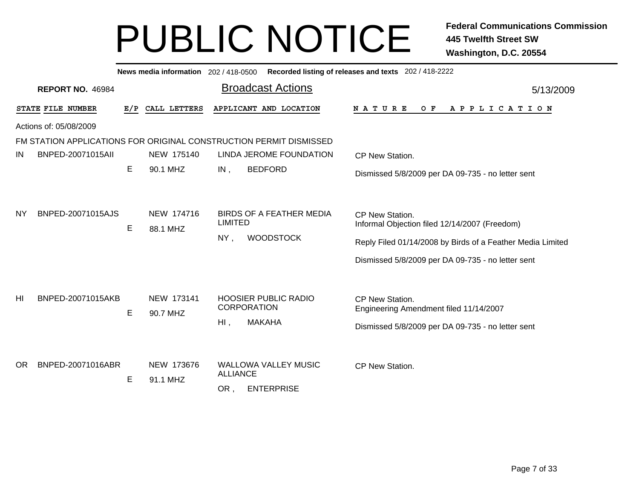|     |                         |     |                        | News media information 202 / 418-0500 Recorded listing of releases and texts 202 / 418-2222 |                                                                                                                                                                                     |
|-----|-------------------------|-----|------------------------|---------------------------------------------------------------------------------------------|-------------------------------------------------------------------------------------------------------------------------------------------------------------------------------------|
|     | <b>REPORT NO. 46984</b> |     |                        | <b>Broadcast Actions</b>                                                                    | 5/13/2009                                                                                                                                                                           |
|     | STATE FILE NUMBER       | E/P | CALL LETTERS           | APPLICANT AND LOCATION                                                                      | NATURE<br>O F<br>A P P L I C A T I O N                                                                                                                                              |
|     | Actions of: 05/08/2009  |     |                        |                                                                                             |                                                                                                                                                                                     |
|     |                         |     |                        | FM STATION APPLICATIONS FOR ORIGINAL CONSTRUCTION PERMIT DISMISSED                          |                                                                                                                                                                                     |
| IN  | BNPED-20071015All       |     | NEW 175140             | LINDA JEROME FOUNDATION                                                                     | CP New Station.                                                                                                                                                                     |
|     |                         | E.  | 90.1 MHZ               | <b>BEDFORD</b><br>IN,                                                                       | Dismissed 5/8/2009 per DA 09-735 - no letter sent                                                                                                                                   |
| NY  | BNPED-20071015AJS       | E.  | NEW 174716<br>88.1 MHZ | <b>BIRDS OF A FEATHER MEDIA</b><br><b>LIMITED</b><br><b>WOODSTOCK</b><br>$NY$ ,             | CP New Station.<br>Informal Objection filed 12/14/2007 (Freedom)<br>Reply Filed 01/14/2008 by Birds of a Feather Media Limited<br>Dismissed 5/8/2009 per DA 09-735 - no letter sent |
| HI  | BNPED-20071015AKB       | E   | NEW 173141<br>90.7 MHZ | <b>HOOSIER PUBLIC RADIO</b><br><b>CORPORATION</b><br><b>MAKAHA</b><br>$H1$ ,                | CP New Station.<br>Engineering Amendment filed 11/14/2007<br>Dismissed 5/8/2009 per DA 09-735 - no letter sent                                                                      |
| OR. | BNPED-20071016ABR       | Е   | NEW 173676<br>91.1 MHZ | <b>WALLOWA VALLEY MUSIC</b><br><b>ALLIANCE</b><br><b>ENTERPRISE</b><br>OR,                  | CP New Station.                                                                                                                                                                     |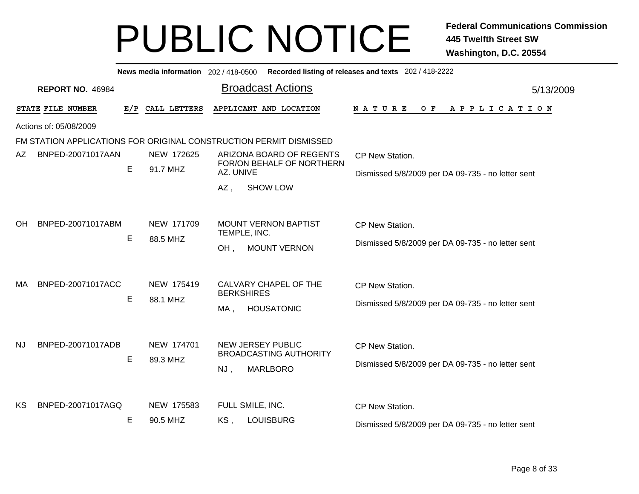|     |                         |     |                        | News media information 202 / 418-0500 Recorded listing of releases and texts 202 / 418-2222 |                                                                      |
|-----|-------------------------|-----|------------------------|---------------------------------------------------------------------------------------------|----------------------------------------------------------------------|
|     | <b>REPORT NO. 46984</b> |     |                        | <b>Broadcast Actions</b>                                                                    | 5/13/2009                                                            |
|     | STATE FILE NUMBER       | E/P | CALL LETTERS           | APPLICANT AND LOCATION                                                                      | N A T U R E<br>OF APPLICATION                                        |
|     | Actions of: 05/08/2009  |     |                        |                                                                                             |                                                                      |
|     |                         |     |                        | FM STATION APPLICATIONS FOR ORIGINAL CONSTRUCTION PERMIT DISMISSED                          |                                                                      |
| AZ. | BNPED-20071017AAN       |     | NEW 172625             | ARIZONA BOARD OF REGENTS                                                                    | CP New Station.                                                      |
|     |                         | E.  | 91.7 MHZ               | FOR/ON BEHALF OF NORTHERN<br>AZ. UNIVE                                                      | Dismissed 5/8/2009 per DA 09-735 - no letter sent                    |
|     |                         |     |                        | <b>SHOW LOW</b><br>AZ,                                                                      |                                                                      |
| OH. | BNPED-20071017ABM       | Е   | NEW 171709<br>88.5 MHZ | <b>MOUNT VERNON BAPTIST</b><br>TEMPLE, INC.<br><b>MOUNT VERNON</b><br>OH,                   | CP New Station.<br>Dismissed 5/8/2009 per DA 09-735 - no letter sent |
| МA  | BNPED-20071017ACC       | Е   | NEW 175419<br>88.1 MHZ | CALVARY CHAPEL OF THE<br><b>BERKSHIRES</b><br><b>HOUSATONIC</b><br>MA,                      | CP New Station.<br>Dismissed 5/8/2009 per DA 09-735 - no letter sent |
| NJ. | BNPED-20071017ADB       | Е   | NEW 174701<br>89.3 MHZ | <b>NEW JERSEY PUBLIC</b><br><b>BROADCASTING AUTHORITY</b><br><b>MARLBORO</b><br>NJ,         | CP New Station.<br>Dismissed 5/8/2009 per DA 09-735 - no letter sent |
| KS  | BNPED-20071017AGQ       | Е   | NEW 175583<br>90.5 MHZ | FULL SMILE, INC.<br><b>LOUISBURG</b><br>KS,                                                 | CP New Station.<br>Dismissed 5/8/2009 per DA 09-735 - no letter sent |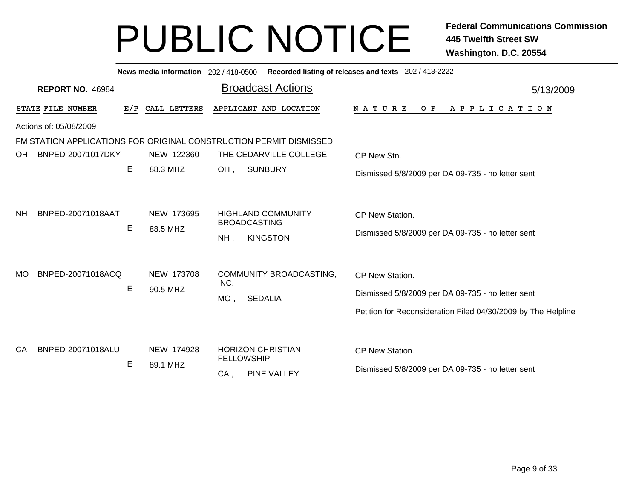|           |                         |     |                        | News media information 202 / 418-0500 Recorded listing of releases and texts 202 / 418-2222 |                                                                                                                                              |
|-----------|-------------------------|-----|------------------------|---------------------------------------------------------------------------------------------|----------------------------------------------------------------------------------------------------------------------------------------------|
|           | <b>REPORT NO. 46984</b> |     |                        | <b>Broadcast Actions</b>                                                                    | 5/13/2009                                                                                                                                    |
|           | STATE FILE NUMBER       | E/P | CALL LETTERS           | APPLICANT AND LOCATION                                                                      | NATURE<br>O F<br>A P P L I C A T I O N                                                                                                       |
|           | Actions of: 05/08/2009  |     |                        |                                                                                             |                                                                                                                                              |
|           |                         |     |                        | FM STATION APPLICATIONS FOR ORIGINAL CONSTRUCTION PERMIT DISMISSED                          |                                                                                                                                              |
| OH        | BNPED-20071017DKY       |     | NEW 122360             | THE CEDARVILLE COLLEGE                                                                      | CP New Stn.                                                                                                                                  |
|           |                         | E.  | 88.3 MHZ               | OH,<br><b>SUNBURY</b>                                                                       | Dismissed 5/8/2009 per DA 09-735 - no letter sent                                                                                            |
| <b>NH</b> | BNPED-20071018AAT       | E   | NEW 173695<br>88.5 MHZ | <b>HIGHLAND COMMUNITY</b><br><b>BROADCASTING</b><br><b>KINGSTON</b><br>$NH$ ,               | CP New Station.<br>Dismissed 5/8/2009 per DA 09-735 - no letter sent                                                                         |
| <b>MO</b> | BNPED-20071018ACQ       | Е   | NEW 173708<br>90.5 MHZ | COMMUNITY BROADCASTING,<br>INC.<br><b>SEDALIA</b><br>$MO$ ,                                 | <b>CP New Station.</b><br>Dismissed 5/8/2009 per DA 09-735 - no letter sent<br>Petition for Reconsideration Filed 04/30/2009 by The Helpline |
| CA        | BNPED-20071018ALU       | E   | NEW 174928<br>89.1 MHZ | <b>HORIZON CHRISTIAN</b><br><b>FELLOWSHIP</b><br>PINE VALLEY<br>CA,                         | CP New Station.<br>Dismissed 5/8/2009 per DA 09-735 - no letter sent                                                                         |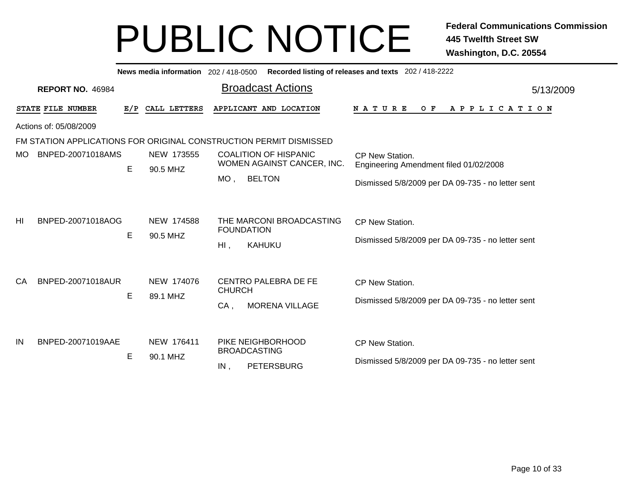|                                                                    |                         |     |                        | News media information 202/418-0500 Recorded listing of releases and texts 202/418-2222                                                                 |           |  |
|--------------------------------------------------------------------|-------------------------|-----|------------------------|---------------------------------------------------------------------------------------------------------------------------------------------------------|-----------|--|
|                                                                    | <b>REPORT NO. 46984</b> |     |                        | <b>Broadcast Actions</b>                                                                                                                                | 5/13/2009 |  |
|                                                                    | STATE FILE NUMBER       | E/P | CALL LETTERS           | APPLICANT AND LOCATION<br><b>NATURE</b><br>O F<br>A P P L I C A T I O N                                                                                 |           |  |
| Actions of: 05/08/2009                                             |                         |     |                        |                                                                                                                                                         |           |  |
| FM STATION APPLICATIONS FOR ORIGINAL CONSTRUCTION PERMIT DISMISSED |                         |     |                        |                                                                                                                                                         |           |  |
| MO.                                                                | BNPED-20071018AMS       | E   | NEW 173555<br>90.5 MHZ | <b>COALITION OF HISPANIC</b><br>CP New Station.<br>WOMEN AGAINST CANCER, INC.<br>Engineering Amendment filed 01/02/2008                                 |           |  |
|                                                                    |                         |     |                        | <b>BELTON</b><br>$MO$ ,<br>Dismissed 5/8/2009 per DA 09-735 - no letter sent                                                                            |           |  |
| HI                                                                 | BNPED-20071018AOG       | Е   | NEW 174588<br>90.5 MHZ | THE MARCONI BROADCASTING<br>CP New Station.<br><b>FOUNDATION</b><br>Dismissed 5/8/2009 per DA 09-735 - no letter sent<br>$HI$ ,<br>KAHUKU               |           |  |
| CA                                                                 | BNPED-20071018AUR       | E   | NEW 174076<br>89.1 MHZ | <b>CENTRO PALEBRA DE FE</b><br>CP New Station.<br><b>CHURCH</b><br>Dismissed 5/8/2009 per DA 09-735 - no letter sent<br><b>MORENA VILLAGE</b><br>$CA$ , |           |  |
| IN                                                                 | BNPED-20071019AAE       | E   | NEW 176411<br>90.1 MHZ | PIKE NEIGHBORHOOD<br>CP New Station.<br><b>BROADCASTING</b><br>Dismissed 5/8/2009 per DA 09-735 - no letter sent<br><b>PETERSBURG</b><br>IN,            |           |  |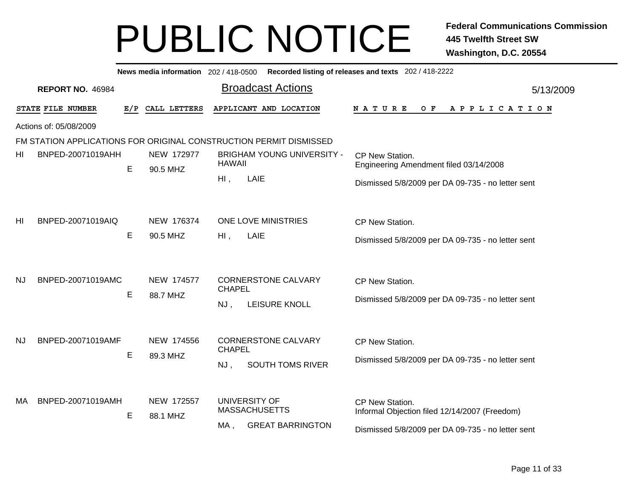|           |                         |     |              |                                             | News media information 202/418-0500 Recorded listing of releases and texts 202/418-2222 |                                                   |           |
|-----------|-------------------------|-----|--------------|---------------------------------------------|-----------------------------------------------------------------------------------------|---------------------------------------------------|-----------|
|           | <b>REPORT NO. 46984</b> |     |              |                                             | <b>Broadcast Actions</b>                                                                |                                                   | 5/13/2009 |
|           | STATE FILE NUMBER       | E/P | CALL LETTERS |                                             | APPLICANT AND LOCATION                                                                  | <b>NATURE</b><br>O F<br>A P P L I C A T I O N     |           |
|           | Actions of: 05/08/2009  |     |              |                                             |                                                                                         |                                                   |           |
|           |                         |     |              |                                             | FM STATION APPLICATIONS FOR ORIGINAL CONSTRUCTION PERMIT DISMISSED                      |                                                   |           |
| HI        | BNPED-20071019AHH       |     | NEW 172977   |                                             | <b>BRIGHAM YOUNG UNIVERSITY -</b>                                                       | CP New Station.                                   |           |
|           |                         | E   | 90.5 MHZ     | <b>HAWAII</b>                               |                                                                                         | Engineering Amendment filed 03/14/2008            |           |
|           |                         |     |              | $HI$ ,                                      | LAIE                                                                                    | Dismissed 5/8/2009 per DA 09-735 - no letter sent |           |
| HI        | BNPED-20071019AIQ       |     | NEW 176374   |                                             | ONE LOVE MINISTRIES                                                                     | CP New Station.                                   |           |
|           |                         | Е   | 90.5 MHZ     | $Hl$ ,                                      | LAIE                                                                                    |                                                   |           |
|           |                         |     |              |                                             |                                                                                         | Dismissed 5/8/2009 per DA 09-735 - no letter sent |           |
| NJ        | BNPED-20071019AMC       |     | NEW 174577   | <b>CORNERSTONE CALVARY</b><br><b>CHAPEL</b> | CP New Station.                                                                         |                                                   |           |
|           |                         | E   | 88.7 MHZ     |                                             | Dismissed 5/8/2009 per DA 09-735 - no letter sent                                       |                                                   |           |
|           |                         |     |              | NJ,                                         | LEISURE KNOLL                                                                           |                                                   |           |
| <b>NJ</b> | BNPED-20071019AMF       |     | NEW 174556   |                                             | <b>CORNERSTONE CALVARY</b>                                                              | CP New Station.                                   |           |
|           |                         | E   | 89.3 MHZ     | <b>CHAPEL</b>                               |                                                                                         | Dismissed 5/8/2009 per DA 09-735 - no letter sent |           |
|           |                         |     |              | NJ,                                         | SOUTH TOMS RIVER                                                                        |                                                   |           |
| MA        | BNPED-20071019AMH       |     | NEW 172557   |                                             | UNIVERSITY OF<br><b>MASSACHUSETTS</b>                                                   | CP New Station.                                   |           |
|           |                         | Е   | 88.1 MHZ     | MA,                                         | <b>GREAT BARRINGTON</b>                                                                 | Informal Objection filed 12/14/2007 (Freedom)     |           |
|           |                         |     |              |                                             |                                                                                         | Dismissed 5/8/2009 per DA 09-735 - no letter sent |           |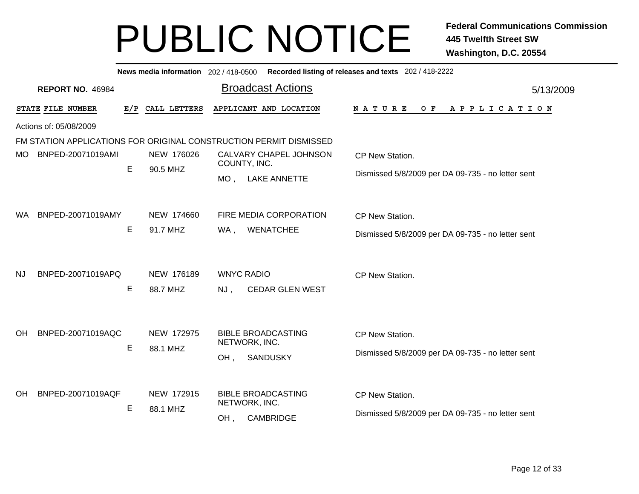|           |                         |     |                        | News media information 202 / 418-0500 Recorded listing of releases and texts 202 / 418-2222 |                                                                      |
|-----------|-------------------------|-----|------------------------|---------------------------------------------------------------------------------------------|----------------------------------------------------------------------|
|           | <b>REPORT NO. 46984</b> |     |                        | <b>Broadcast Actions</b>                                                                    | 5/13/2009                                                            |
|           | STATE FILE NUMBER       | E/P | CALL LETTERS           | APPLICANT AND LOCATION                                                                      | NATURE<br>$O$ $F$<br>APPLICATION                                     |
|           | Actions of: 05/08/2009  |     |                        |                                                                                             |                                                                      |
|           |                         |     |                        | FM STATION APPLICATIONS FOR ORIGINAL CONSTRUCTION PERMIT DISMISSED                          |                                                                      |
| MO.       | BNPED-20071019AMI       |     | NEW 176026             | CALVARY CHAPEL JOHNSON                                                                      | CP New Station.                                                      |
|           |                         | E   | 90.5 MHZ               | COUNTY, INC.<br>MO, LAKE ANNETTE                                                            | Dismissed 5/8/2009 per DA 09-735 - no letter sent                    |
| WA.       | BNPED-20071019AMY       | Е   | NEW 174660<br>91.7 MHZ | FIRE MEDIA CORPORATION<br><b>WENATCHEE</b><br>WA,                                           | CP New Station.<br>Dismissed 5/8/2009 per DA 09-735 - no letter sent |
| NJ        | BNPED-20071019APQ       | Е   | NEW 176189<br>88.7 MHZ | <b>WNYC RADIO</b><br>$NJ$ ,<br><b>CEDAR GLEN WEST</b>                                       | CP New Station.                                                      |
| <b>OH</b> | BNPED-20071019AQC       | E   | NEW 172975<br>88.1 MHZ | <b>BIBLE BROADCASTING</b><br>NETWORK, INC.<br><b>SANDUSKY</b><br>OH,                        | CP New Station.<br>Dismissed 5/8/2009 per DA 09-735 - no letter sent |
| <b>OH</b> | BNPED-20071019AQF       | E   | NEW 172915<br>88.1 MHZ | <b>BIBLE BROADCASTING</b><br>NETWORK, INC.<br><b>CAMBRIDGE</b><br>OH,                       | CP New Station.<br>Dismissed 5/8/2009 per DA 09-735 - no letter sent |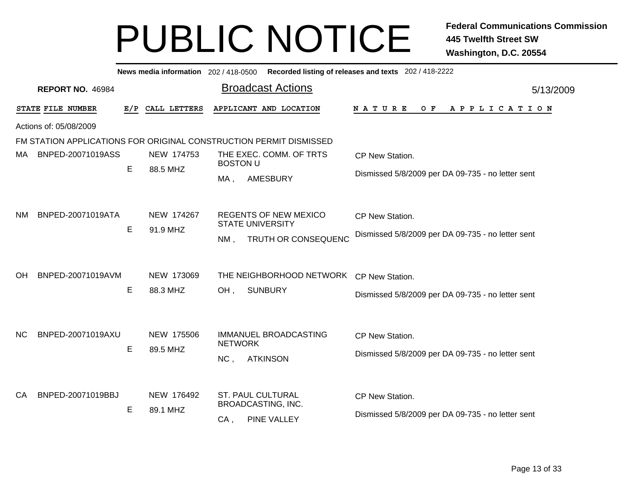|                        | Recorded listing of releases and texts 202 / 418-2222<br>News media information 202 / 418-0500 |     |                        |                                                                                          |                                                                      |  |  |  |  |  |
|------------------------|------------------------------------------------------------------------------------------------|-----|------------------------|------------------------------------------------------------------------------------------|----------------------------------------------------------------------|--|--|--|--|--|
|                        | <b>REPORT NO. 46984</b>                                                                        |     |                        | <b>Broadcast Actions</b>                                                                 | 5/13/2009                                                            |  |  |  |  |  |
|                        | STATE FILE NUMBER                                                                              | E/P | CALL LETTERS           | APPLICANT AND LOCATION                                                                   | <b>NATURE</b><br>O F<br>APPLICATION                                  |  |  |  |  |  |
| Actions of: 05/08/2009 |                                                                                                |     |                        |                                                                                          |                                                                      |  |  |  |  |  |
|                        |                                                                                                |     |                        | FM STATION APPLICATIONS FOR ORIGINAL CONSTRUCTION PERMIT DISMISSED                       |                                                                      |  |  |  |  |  |
| MA.                    | BNPED-20071019ASS                                                                              |     | NEW 174753             | THE EXEC. COMM. OF TRTS<br><b>BOSTON U</b>                                               | CP New Station.                                                      |  |  |  |  |  |
|                        |                                                                                                | E   | 88.5 MHZ               | <b>AMESBURY</b><br>$MA$ ,                                                                | Dismissed 5/8/2009 per DA 09-735 - no letter sent                    |  |  |  |  |  |
| <b>NM</b>              | BNPED-20071019ATA                                                                              | E   | NEW 174267<br>91.9 MHZ | <b>REGENTS OF NEW MEXICO</b><br><b>STATE UNIVERSITY</b><br>TRUTH OR CONSEQUENC<br>$NM$ . | CP New Station.<br>Dismissed 5/8/2009 per DA 09-735 - no letter sent |  |  |  |  |  |
| OН                     | BNPED-20071019AVM                                                                              | Е   | NEW 173069<br>88.3 MHZ | THE NEIGHBORHOOD NETWORK<br>OH,<br><b>SUNBURY</b>                                        | CP New Station.<br>Dismissed 5/8/2009 per DA 09-735 - no letter sent |  |  |  |  |  |
| <b>NC</b>              | BNPED-20071019AXU                                                                              | Е   | NEW 175506<br>89.5 MHZ | IMMANUEL BROADCASTING<br><b>NETWORK</b><br>NC,<br><b>ATKINSON</b>                        | CP New Station.<br>Dismissed 5/8/2009 per DA 09-735 - no letter sent |  |  |  |  |  |
| CA                     | BNPED-20071019BBJ                                                                              | E   | NEW 176492<br>89.1 MHZ | <b>ST. PAUL CULTURAL</b><br><b>BROADCASTING, INC.</b><br><b>PINE VALLEY</b><br>CA,       | CP New Station.<br>Dismissed 5/8/2009 per DA 09-735 - no letter sent |  |  |  |  |  |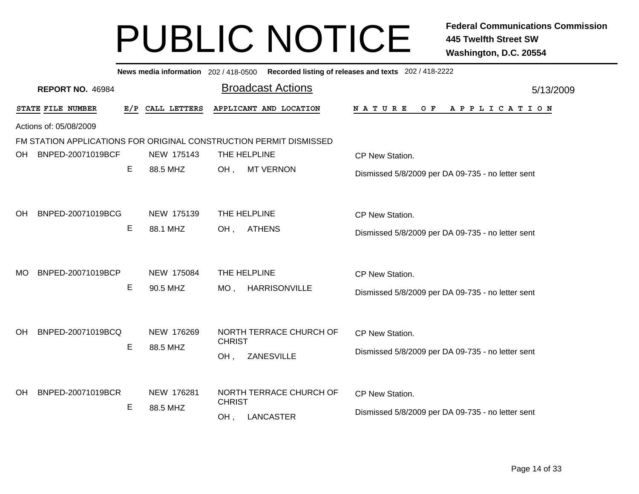|                                | News media information 202/418-0500 Recorded listing of releases and texts 202/418-2222 |              |                                                                    |                                                   |  |  |  |  |  |
|--------------------------------|-----------------------------------------------------------------------------------------|--------------|--------------------------------------------------------------------|---------------------------------------------------|--|--|--|--|--|
| <b>REPORT NO. 46984</b>        |                                                                                         |              | <b>Broadcast Actions</b>                                           | 5/13/2009                                         |  |  |  |  |  |
| STATE FILE NUMBER              | E/P                                                                                     | CALL LETTERS | APPLICANT AND LOCATION                                             | NATURE<br>$O$ $F$<br>A P P L I C A T I O N        |  |  |  |  |  |
| Actions of: 05/08/2009         |                                                                                         |              |                                                                    |                                                   |  |  |  |  |  |
|                                |                                                                                         |              | FM STATION APPLICATIONS FOR ORIGINAL CONSTRUCTION PERMIT DISMISSED |                                                   |  |  |  |  |  |
| BNPED-20071019BCF<br>OH.       |                                                                                         | NEW 175143   | THE HELPLINE                                                       | CP New Station.                                   |  |  |  |  |  |
|                                | Е                                                                                       | 88.5 MHZ     | OH,<br><b>MT VERNON</b>                                            | Dismissed 5/8/2009 per DA 09-735 - no letter sent |  |  |  |  |  |
|                                |                                                                                         |              |                                                                    |                                                   |  |  |  |  |  |
| BNPED-20071019BCG<br>OH.       |                                                                                         | NEW 175139   | THE HELPLINE                                                       | CP New Station.                                   |  |  |  |  |  |
|                                | Е                                                                                       | 88.1 MHZ     | <b>ATHENS</b><br>OH,                                               | Dismissed 5/8/2009 per DA 09-735 - no letter sent |  |  |  |  |  |
|                                |                                                                                         |              |                                                                    |                                                   |  |  |  |  |  |
| BNPED-20071019BCP<br>MO.       |                                                                                         | NEW 175084   | THE HELPLINE                                                       | CP New Station.                                   |  |  |  |  |  |
|                                | Е                                                                                       | 90.5 MHZ     | MO, HARRISONVILLE                                                  |                                                   |  |  |  |  |  |
|                                |                                                                                         |              |                                                                    | Dismissed 5/8/2009 per DA 09-735 - no letter sent |  |  |  |  |  |
|                                |                                                                                         |              |                                                                    |                                                   |  |  |  |  |  |
| BNPED-20071019BCQ<br><b>OH</b> |                                                                                         | NEW 176269   | NORTH TERRACE CHURCH OF<br><b>CHRIST</b>                           | CP New Station.                                   |  |  |  |  |  |
|                                | E                                                                                       | 88.5 MHZ     | ZANESVILLE<br>OH,                                                  | Dismissed 5/8/2009 per DA 09-735 - no letter sent |  |  |  |  |  |
|                                |                                                                                         |              |                                                                    |                                                   |  |  |  |  |  |
| BNPED-20071019BCR<br><b>OH</b> |                                                                                         | NEW 176281   | NORTH TERRACE CHURCH OF                                            | CP New Station.                                   |  |  |  |  |  |
|                                | Е                                                                                       | 88.5 MHZ     | <b>CHRIST</b>                                                      | Dismissed 5/8/2009 per DA 09-735 - no letter sent |  |  |  |  |  |
|                                |                                                                                         |              | <b>LANCASTER</b><br>OH,                                            |                                                   |  |  |  |  |  |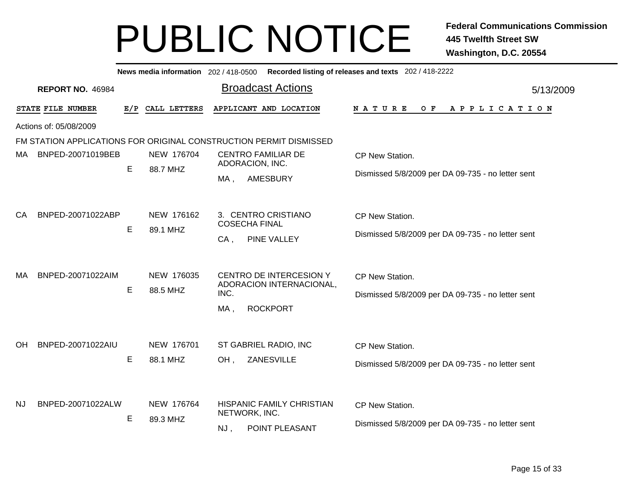|     | News media information 202 / 418-0500 Recorded listing of releases and texts 202 / 418-2222 |                     |                        |                                                                                       |                                                                      |  |  |  |  |  |  |
|-----|---------------------------------------------------------------------------------------------|---------------------|------------------------|---------------------------------------------------------------------------------------|----------------------------------------------------------------------|--|--|--|--|--|--|
|     | <b>REPORT NO. 46984</b>                                                                     |                     |                        | <b>Broadcast Actions</b>                                                              | 5/13/2009                                                            |  |  |  |  |  |  |
|     | STATE FILE NUMBER                                                                           | E/P<br>CALL LETTERS |                        | APPLICANT AND LOCATION                                                                | <b>NATURE</b><br>O F<br>A P P L I C A T I O N                        |  |  |  |  |  |  |
|     | Actions of: 05/08/2009                                                                      |                     |                        |                                                                                       |                                                                      |  |  |  |  |  |  |
|     |                                                                                             |                     |                        | FM STATION APPLICATIONS FOR ORIGINAL CONSTRUCTION PERMIT DISMISSED                    |                                                                      |  |  |  |  |  |  |
| MA. | BNPED-20071019BEB                                                                           |                     | NEW 176704             | <b>CENTRO FAMILIAR DE</b>                                                             | CP New Station.                                                      |  |  |  |  |  |  |
|     |                                                                                             | E                   | 88.7 MHZ               | ADORACION, INC.<br><b>AMESBURY</b><br>$MA$ ,                                          | Dismissed 5/8/2009 per DA 09-735 - no letter sent                    |  |  |  |  |  |  |
| CA  | BNPED-20071022ABP                                                                           | E                   | NEW 176162<br>89.1 MHZ | 3. CENTRO CRISTIANO<br><b>COSECHA FINAL</b><br>PINE VALLEY<br>$CA$ ,                  | CP New Station.<br>Dismissed 5/8/2009 per DA 09-735 - no letter sent |  |  |  |  |  |  |
| MA  | BNPED-20071022AIM                                                                           | E                   | NEW 176035<br>88.5 MHZ | CENTRO DE INTERCESION Y<br>ADORACION INTERNACIONAL,<br>INC.<br>MA,<br><b>ROCKPORT</b> | CP New Station.<br>Dismissed 5/8/2009 per DA 09-735 - no letter sent |  |  |  |  |  |  |
| OH. | BNPED-20071022AIU                                                                           | E                   | NEW 176701<br>88.1 MHZ | ST GABRIEL RADIO, INC<br>ZANESVILLE<br>OH,                                            | CP New Station.<br>Dismissed 5/8/2009 per DA 09-735 - no letter sent |  |  |  |  |  |  |
| NJ  | BNPED-20071022ALW                                                                           | E                   | NEW 176764<br>89.3 MHZ | HISPANIC FAMILY CHRISTIAN<br>NETWORK, INC.<br>POINT PLEASANT<br>NJ,                   | CP New Station.<br>Dismissed 5/8/2009 per DA 09-735 - no letter sent |  |  |  |  |  |  |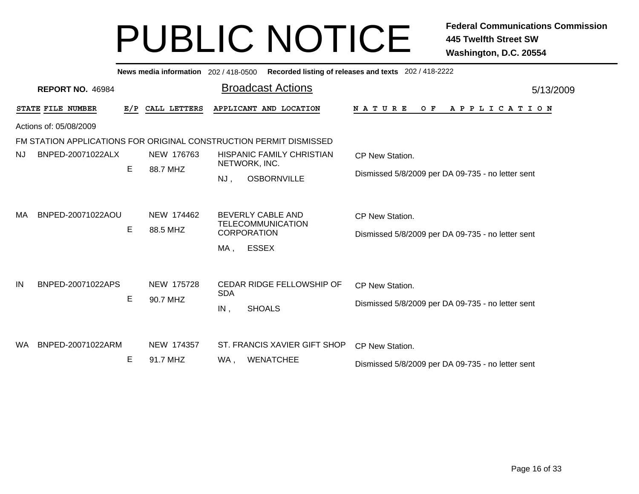|           |                         |     | News media information 202 / 418-0500 |                                                   |                                                                            | Recorded listing of releases and texts 202 / 418-2222                       |  |  |  |
|-----------|-------------------------|-----|---------------------------------------|---------------------------------------------------|----------------------------------------------------------------------------|-----------------------------------------------------------------------------|--|--|--|
|           | <b>REPORT NO. 46984</b> |     |                                       |                                                   | <b>Broadcast Actions</b>                                                   | 5/13/2009                                                                   |  |  |  |
|           | STATE FILE NUMBER       | E/P | CALL LETTERS                          |                                                   | APPLICANT AND LOCATION                                                     | NATURE<br>O F<br>A P P L I C A T I O N                                      |  |  |  |
|           | Actions of: 05/08/2009  |     |                                       |                                                   |                                                                            |                                                                             |  |  |  |
|           |                         |     |                                       |                                                   | FM STATION APPLICATIONS FOR ORIGINAL CONSTRUCTION PERMIT DISMISSED         |                                                                             |  |  |  |
| NJ.       | BNPED-20071022ALX       |     | NEW 176763                            | <b>HISPANIC FAMILY CHRISTIAN</b><br>NETWORK, INC. |                                                                            | <b>CP New Station.</b>                                                      |  |  |  |
|           |                         | E   | 88.7 MHZ                              | NJ,                                               | <b>OSBORNVILLE</b>                                                         | Dismissed 5/8/2009 per DA 09-735 - no letter sent                           |  |  |  |
| MA        | BNPED-20071022AOU       | Е   | NEW 174462<br>88.5 MHZ                |                                                   | <b>BEVERLY CABLE AND</b><br><b>TELECOMMUNICATION</b><br><b>CORPORATION</b> | CP New Station.<br>Dismissed 5/8/2009 per DA 09-735 - no letter sent        |  |  |  |
| IN        | BNPED-20071022APS       | E   | NEW 175728<br>90.7 MHZ                | MA.<br><b>SDA</b><br>IN,                          | <b>ESSEX</b><br>CEDAR RIDGE FELLOWSHIP OF<br><b>SHOALS</b>                 | <b>CP New Station.</b><br>Dismissed 5/8/2009 per DA 09-735 - no letter sent |  |  |  |
| <b>WA</b> | BNPED-20071022ARM       | Е   | NEW 174357<br>91.7 MHZ                | WA,                                               | ST. FRANCIS XAVIER GIFT SHOP<br><b>WENATCHEE</b>                           | CP New Station.<br>Dismissed 5/8/2009 per DA 09-735 - no letter sent        |  |  |  |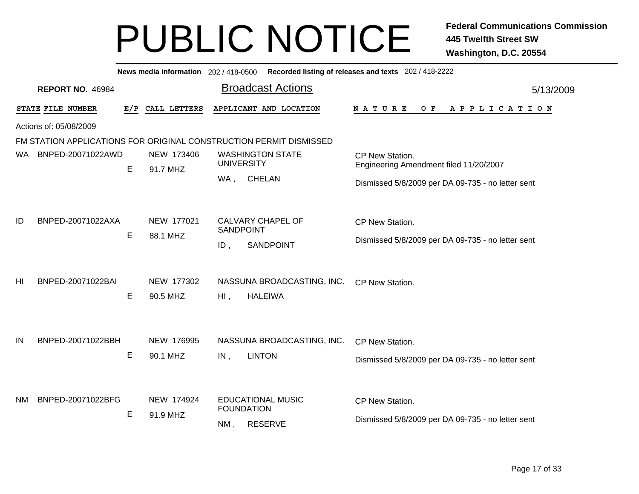|           |                                                                    |     |                        |                                               |  | News media information 202 / 418-0500 Recorded listing of releases and texts 202 / 418-2222 |           |
|-----------|--------------------------------------------------------------------|-----|------------------------|-----------------------------------------------|--|---------------------------------------------------------------------------------------------|-----------|
|           | <b>REPORT NO. 46984</b>                                            |     |                        | <b>Broadcast Actions</b>                      |  |                                                                                             | 5/13/2009 |
|           | STATE FILE NUMBER                                                  | E/P | CALL LETTERS           | APPLICANT AND LOCATION                        |  | $O$ $F$<br>N A T U R E<br>A P P L I C A T I O N                                             |           |
|           | Actions of: 05/08/2009                                             |     |                        |                                               |  |                                                                                             |           |
|           | FM STATION APPLICATIONS FOR ORIGINAL CONSTRUCTION PERMIT DISMISSED |     |                        |                                               |  |                                                                                             |           |
| WA.       | BNPED-20071022AWD                                                  |     | NEW 173406<br>91.7 MHZ | <b>WASHINGTON STATE</b>                       |  | CP New Station.                                                                             |           |
|           |                                                                    | E   |                        | <b>UNIVERSITY</b>                             |  | Engineering Amendment filed 11/20/2007                                                      |           |
|           |                                                                    |     |                        | <b>CHELAN</b><br>WA,                          |  | Dismissed 5/8/2009 per DA 09-735 - no letter sent                                           |           |
|           | BNPED-20071022AXA                                                  |     | NEW 177021             | CALVARY CHAPEL OF                             |  |                                                                                             |           |
| ID        |                                                                    | E   |                        | <b>SANDPOINT</b>                              |  | CP New Station.                                                                             |           |
|           |                                                                    |     | 88.1 MHZ               | $ID$ ,<br><b>SANDPOINT</b>                    |  | Dismissed 5/8/2009 per DA 09-735 - no letter sent                                           |           |
|           |                                                                    |     |                        |                                               |  |                                                                                             |           |
| HI        | BNPED-20071022BAI                                                  | E   | NEW 177302             | NASSUNA BROADCASTING, INC.                    |  | CP New Station.                                                                             |           |
|           |                                                                    |     | 90.5 MHZ               | $Hl$ ,<br><b>HALEIWA</b>                      |  |                                                                                             |           |
|           |                                                                    |     |                        |                                               |  |                                                                                             |           |
|           |                                                                    |     |                        |                                               |  |                                                                                             |           |
| IN        | BNPED-20071022BBH                                                  |     | NEW 176995             | NASSUNA BROADCASTING, INC.                    |  | CP New Station.                                                                             |           |
|           |                                                                    | E   | 90.1 MHZ               | <b>LINTON</b><br>IN,                          |  | Dismissed 5/8/2009 per DA 09-735 - no letter sent                                           |           |
|           |                                                                    |     |                        |                                               |  |                                                                                             |           |
| <b>NM</b> | BNPED-20071022BFG                                                  |     | NEW 174924             | <b>EDUCATIONAL MUSIC</b><br><b>FOUNDATION</b> |  | CP New Station.                                                                             |           |
|           |                                                                    | E   | 91.9 MHZ               | <b>RESERVE</b><br>$NM$ .                      |  | Dismissed 5/8/2009 per DA 09-735 - no letter sent                                           |           |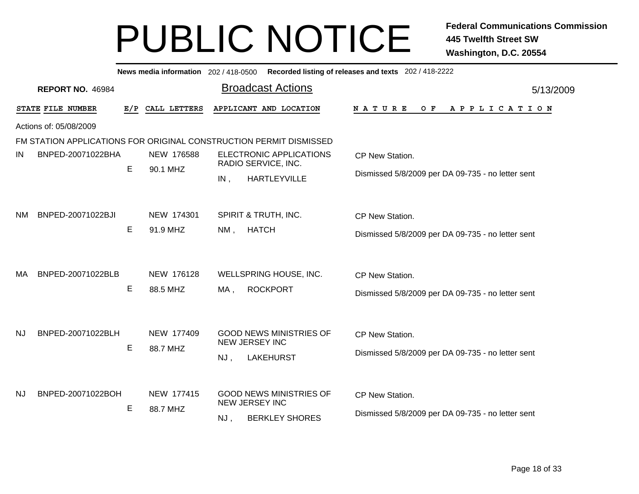|     | Recorded listing of releases and texts 202 / 418-2222<br>News media information 202 / 418-0500 |     |                        |                                                                                        |                                                                      |  |  |  |  |
|-----|------------------------------------------------------------------------------------------------|-----|------------------------|----------------------------------------------------------------------------------------|----------------------------------------------------------------------|--|--|--|--|
|     | <b>REPORT NO. 46984</b>                                                                        |     |                        | <b>Broadcast Actions</b>                                                               | 5/13/2009                                                            |  |  |  |  |
|     | STATE FILE NUMBER                                                                              | E/P | CALL LETTERS           | APPLICANT AND LOCATION                                                                 | NATURE<br>APPLICATION<br>O F                                         |  |  |  |  |
|     | Actions of: 05/08/2009                                                                         |     |                        |                                                                                        |                                                                      |  |  |  |  |
|     |                                                                                                |     |                        | FM STATION APPLICATIONS FOR ORIGINAL CONSTRUCTION PERMIT DISMISSED                     |                                                                      |  |  |  |  |
| IN  | BNPED-20071022BHA                                                                              |     | NEW 176588             | ELECTRONIC APPLICATIONS<br>RADIO SERVICE, INC.                                         | CP New Station.                                                      |  |  |  |  |
|     |                                                                                                | Е   | 90.1 MHZ               | <b>HARTLEYVILLE</b><br>IN,                                                             | Dismissed 5/8/2009 per DA 09-735 - no letter sent                    |  |  |  |  |
| NM. | BNPED-20071022BJI                                                                              | Е   | NEW 174301<br>91.9 MHZ | SPIRIT & TRUTH, INC.<br><b>HATCH</b><br>NM,                                            | CP New Station.<br>Dismissed 5/8/2009 per DA 09-735 - no letter sent |  |  |  |  |
| МA  | BNPED-20071022BLB                                                                              | Е   | NEW 176128<br>88.5 MHZ | WELLSPRING HOUSE, INC.<br>MA,<br><b>ROCKPORT</b>                                       | CP New Station.<br>Dismissed 5/8/2009 per DA 09-735 - no letter sent |  |  |  |  |
| NJ  | BNPED-20071022BLH                                                                              | Е   | NEW 177409<br>88.7 MHZ | <b>GOOD NEWS MINISTRIES OF</b><br><b>NEW JERSEY INC</b><br><b>LAKEHURST</b><br>$NJ$ ,  | CP New Station.<br>Dismissed 5/8/2009 per DA 09-735 - no letter sent |  |  |  |  |
| NJ  | BNPED-20071022BOH                                                                              | Е   | NEW 177415<br>88.7 MHZ | <b>GOOD NEWS MINISTRIES OF</b><br><b>NEW JERSEY INC</b><br><b>BERKLEY SHORES</b><br>NJ | CP New Station.<br>Dismissed 5/8/2009 per DA 09-735 - no letter sent |  |  |  |  |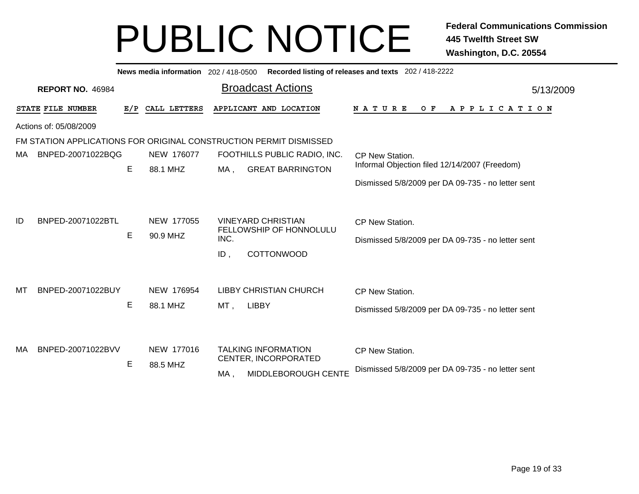|                                                                    | Recorded listing of releases and texts 202 / 418-2222<br>News media information 202/418-0500 |     |                        |                              |                                                                                  |                                                                      |  |  |  |  |
|--------------------------------------------------------------------|----------------------------------------------------------------------------------------------|-----|------------------------|------------------------------|----------------------------------------------------------------------------------|----------------------------------------------------------------------|--|--|--|--|
| <b>Broadcast Actions</b><br><b>REPORT NO. 46984</b><br>5/13/2009   |                                                                                              |     |                        |                              |                                                                                  |                                                                      |  |  |  |  |
|                                                                    | STATE FILE NUMBER                                                                            | E/P | CALL LETTERS           | APPLICANT AND LOCATION       |                                                                                  | O F<br><b>NATURE</b><br>A P P L I C A T I O N                        |  |  |  |  |
|                                                                    | Actions of: 05/08/2009                                                                       |     |                        |                              |                                                                                  |                                                                      |  |  |  |  |
| FM STATION APPLICATIONS FOR ORIGINAL CONSTRUCTION PERMIT DISMISSED |                                                                                              |     |                        |                              |                                                                                  |                                                                      |  |  |  |  |
| МA                                                                 | BNPED-20071022BQG                                                                            |     | NEW 176077             | FOOTHILLS PUBLIC RADIO, INC. |                                                                                  | CP New Station.                                                      |  |  |  |  |
|                                                                    |                                                                                              | E   | 88.1 MHZ               | MA,                          | <b>GREAT BARRINGTON</b>                                                          | Informal Objection filed 12/14/2007 (Freedom)                        |  |  |  |  |
|                                                                    |                                                                                              |     |                        |                              |                                                                                  | Dismissed 5/8/2009 per DA 09-735 - no letter sent                    |  |  |  |  |
| ID                                                                 | BNPED-20071022BTL                                                                            | E   | NEW 177055<br>90.9 MHZ | INC.<br>ID,                  | <b>VINEYARD CHRISTIAN</b><br>FELLOWSHIP OF HONNOLULU<br>COTTONWOOD               | CP New Station.<br>Dismissed 5/8/2009 per DA 09-735 - no letter sent |  |  |  |  |
| мт                                                                 | BNPED-20071022BUY                                                                            | Е   | NEW 176954<br>88.1 MHZ | MT,                          | <b>LIBBY CHRISTIAN CHURCH</b><br><b>LIBBY</b>                                    | CP New Station.<br>Dismissed 5/8/2009 per DA 09-735 - no letter sent |  |  |  |  |
| МA                                                                 | BNPED-20071022BVV                                                                            | E   | NEW 177016<br>88.5 MHZ | MA,                          | <b>TALKING INFORMATION</b><br>CENTER, INCORPORATED<br><b>MIDDLEBOROUGH CENTE</b> | CP New Station.<br>Dismissed 5/8/2009 per DA 09-735 - no letter sent |  |  |  |  |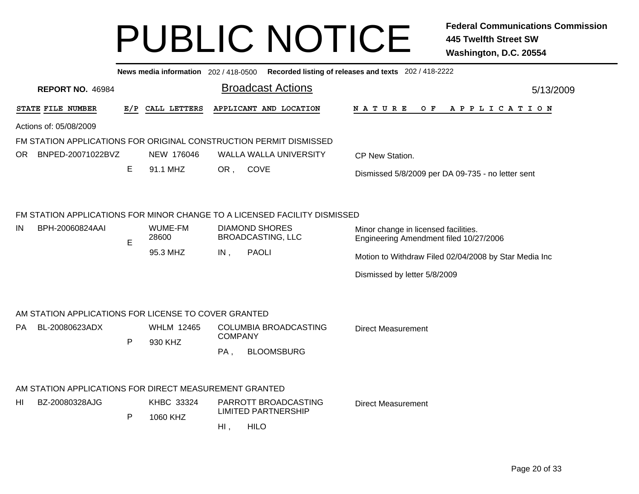|           | Recorded listing of releases and texts 202 / 418-2222<br>News media information 202 / 418-0500 |              |                   |                |                                                                           |                                                                                |           |  |
|-----------|------------------------------------------------------------------------------------------------|--------------|-------------------|----------------|---------------------------------------------------------------------------|--------------------------------------------------------------------------------|-----------|--|
|           | <b>REPORT NO. 46984</b>                                                                        |              |                   |                | <b>Broadcast Actions</b>                                                  |                                                                                | 5/13/2009 |  |
|           | STATE FILE NUMBER                                                                              |              | E/P CALL LETTERS  |                | APPLICANT AND LOCATION                                                    | N A T U R E<br>O F<br>A P P L I C A T I O N                                    |           |  |
|           | Actions of: 05/08/2009                                                                         |              |                   |                |                                                                           |                                                                                |           |  |
|           | FM STATION APPLICATIONS FOR ORIGINAL CONSTRUCTION PERMIT DISMISSED                             |              |                   |                |                                                                           |                                                                                |           |  |
| <b>OR</b> | BNPED-20071022BVZ                                                                              |              | NEW 176046        |                | <b>WALLA WALLA UNIVERSITY</b>                                             | CP New Station.                                                                |           |  |
|           |                                                                                                | E            | 91.1 MHZ          | OR,            | <b>COVE</b>                                                               | Dismissed 5/8/2009 per DA 09-735 - no letter sent                              |           |  |
|           |                                                                                                |              |                   |                |                                                                           |                                                                                |           |  |
|           |                                                                                                |              |                   |                | FM STATION APPLICATIONS FOR MINOR CHANGE TO A LICENSED FACILITY DISMISSED |                                                                                |           |  |
| IN.       | BPH-20060824AAI                                                                                | E            | WUME-FM<br>28600  |                | <b>DIAMOND SHORES</b><br><b>BROADCASTING, LLC</b>                         | Minor change in licensed facilities.<br>Engineering Amendment filed 10/27/2006 |           |  |
|           |                                                                                                |              | 95.3 MHZ          | IN,            | <b>PAOLI</b>                                                              | Motion to Withdraw Filed 02/04/2008 by Star Media Inc                          |           |  |
|           |                                                                                                |              |                   |                |                                                                           | Dismissed by letter 5/8/2009                                                   |           |  |
|           |                                                                                                |              |                   |                |                                                                           |                                                                                |           |  |
|           | AM STATION APPLICATIONS FOR LICENSE TO COVER GRANTED                                           |              |                   |                |                                                                           |                                                                                |           |  |
| PA.       | BL-20080623ADX                                                                                 |              | <b>WHLM 12465</b> | <b>COMPANY</b> | COLUMBIA BROADCASTING                                                     | <b>Direct Measurement</b>                                                      |           |  |
|           |                                                                                                | $\mathsf{P}$ | 930 KHZ           | $PA$ ,         | <b>BLOOMSBURG</b>                                                         |                                                                                |           |  |
|           |                                                                                                |              |                   |                |                                                                           |                                                                                |           |  |
|           | AM STATION APPLICATIONS FOR DIRECT MEASUREMENT GRANTED                                         |              |                   |                |                                                                           |                                                                                |           |  |
| HI        | BZ-20080328AJG                                                                                 |              | KHBC 33324        |                | PARROTT BROADCASTING<br><b>LIMITED PARTNERSHIP</b>                        | <b>Direct Measurement</b>                                                      |           |  |
|           |                                                                                                | $\mathsf{P}$ | 1060 KHZ          | $Hl$ ,         | <b>HILO</b>                                                               |                                                                                |           |  |
|           |                                                                                                |              |                   |                |                                                                           |                                                                                |           |  |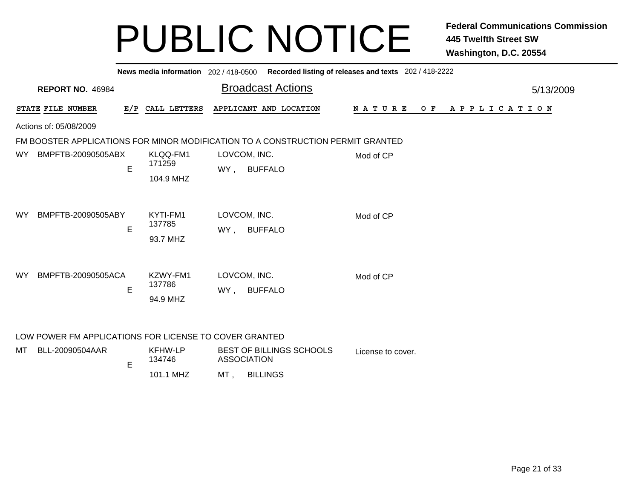|           | News media information 202 / 418-0500 Recorded listing of releases and texts 202 / 418-2222 |   |                                 |                                                                                 |                              |  |  |  |  |  |
|-----------|---------------------------------------------------------------------------------------------|---|---------------------------------|---------------------------------------------------------------------------------|------------------------------|--|--|--|--|--|
|           | <b>REPORT NO. 46984</b>                                                                     |   |                                 | <b>Broadcast Actions</b>                                                        | 5/13/2009                    |  |  |  |  |  |
|           | STATE FILE NUMBER                                                                           |   | E/P CALL LETTERS                | APPLICANT AND LOCATION                                                          | NATURE<br>APPLICATION<br>O F |  |  |  |  |  |
|           | Actions of: 05/08/2009                                                                      |   |                                 |                                                                                 |                              |  |  |  |  |  |
|           |                                                                                             |   |                                 | FM BOOSTER APPLICATIONS FOR MINOR MODIFICATION TO A CONSTRUCTION PERMIT GRANTED |                              |  |  |  |  |  |
| WY.       | BMPFTB-20090505ABX                                                                          | E | KLQQ-FM1<br>171259<br>104.9 MHZ | LOVCOM, INC.<br><b>BUFFALO</b><br>WY,                                           | Mod of CP                    |  |  |  |  |  |
| WY        | BMPFTB-20090505ABY                                                                          | E | KYTI-FM1<br>137785<br>93.7 MHZ  | LOVCOM, INC.<br><b>BUFFALO</b><br>WY,                                           | Mod of CP                    |  |  |  |  |  |
| <b>WY</b> | BMPFTB-20090505ACA                                                                          | E | KZWY-FM1<br>137786<br>94.9 MHZ  | LOVCOM, INC.<br><b>BUFFALO</b><br>WY,                                           | Mod of CP                    |  |  |  |  |  |
| MT        | LOW POWER FM APPLICATIONS FOR LICENSE TO COVER GRANTED<br>BLL-20090504AAR                   |   | <b>KFHW-LP</b>                  | BEST OF BILLINGS SCHOOLS                                                        | License to cover.            |  |  |  |  |  |

| --20090504AAR | KFHW-LP<br>134746 |    | BEST OF BILLINGS SCHOOLS<br>ASSOCIATION | License to c |
|---------------|-------------------|----|-----------------------------------------|--------------|
|               | 101.1 MHZ         | MТ | <b>BILLINGS</b>                         |              |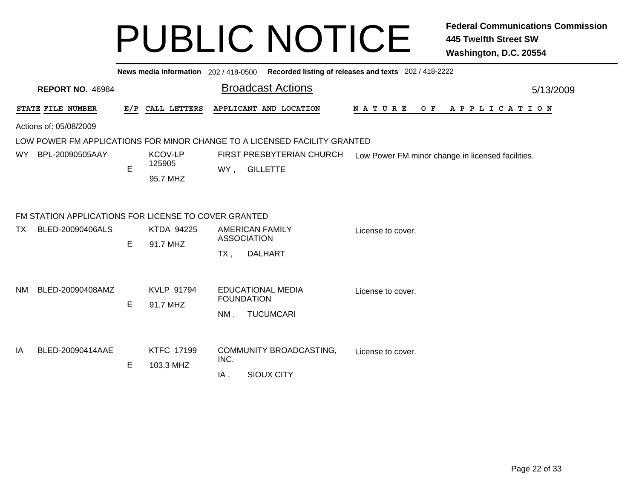|                        |                                                      |   |                                      | News media information 202/418-0500 Recorded listing of releases and texts 202/418-2222                  |                |  |  |
|------------------------|------------------------------------------------------|---|--------------------------------------|----------------------------------------------------------------------------------------------------------|----------------|--|--|
|                        | <b>REPORT NO. 46984</b>                              |   |                                      | <b>Broadcast Actions</b>                                                                                 | 5/13/2009      |  |  |
|                        | STATE FILE NUMBER                                    |   | E/P CALL LETTERS                     | APPLICANT AND LOCATION<br>N A T U R E                                                                    | OF APPLICATION |  |  |
| Actions of: 05/08/2009 |                                                      |   |                                      |                                                                                                          |                |  |  |
|                        |                                                      |   |                                      | LOW POWER FM APPLICATIONS FOR MINOR CHANGE TO A LICENSED FACILITY GRANTED                                |                |  |  |
| WY.                    | BPL-20090505AAY                                      | E | <b>KCOV-LP</b><br>125905<br>95.7 MHZ | FIRST PRESBYTERIAN CHURCH<br>Low Power FM minor change in licensed facilities.<br><b>GILLETTE</b><br>WY, |                |  |  |
|                        | FM STATION APPLICATIONS FOR LICENSE TO COVER GRANTED |   |                                      |                                                                                                          |                |  |  |
| <b>TX</b>              | BLED-20090406ALS                                     | E | KTDA 94225<br>91.7 MHZ               | <b>AMERICAN FAMILY</b><br>License to cover.<br><b>ASSOCIATION</b>                                        |                |  |  |
|                        |                                                      |   |                                      | <b>DALHART</b><br>$TX$ ,                                                                                 |                |  |  |
| <b>NM</b>              | BLED-20090408AMZ                                     | E | KVLP 91794<br>91.7 MHZ               | <b>EDUCATIONAL MEDIA</b><br>License to cover.<br><b>FOUNDATION</b>                                       |                |  |  |
|                        |                                                      |   |                                      | <b>TUCUMCARI</b><br>$NM$ ,                                                                               |                |  |  |
| IA                     | BLED-20090414AAE                                     |   | <b>KTFC 17199</b>                    | COMMUNITY BROADCASTING,<br>License to cover.<br>INC.                                                     |                |  |  |
|                        |                                                      | E | 103.3 MHZ                            | <b>SIOUX CITY</b><br>IA,                                                                                 |                |  |  |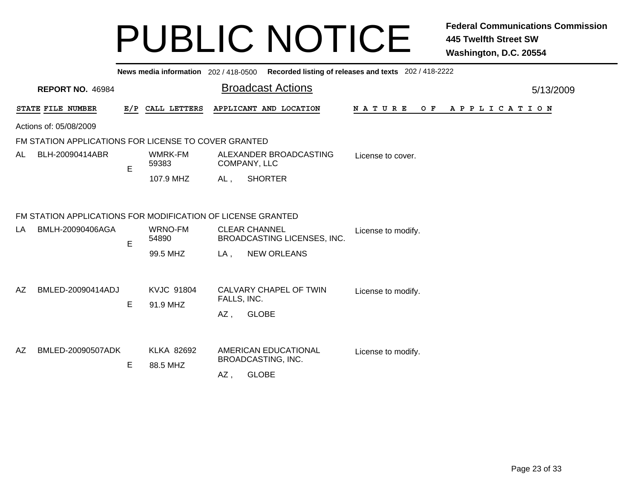|     |                                                             |     | News media information 202 / 418-0500 |                                            |                                                     | Recorded listing of releases and texts 202 / 418-2222 |           |  |  |
|-----|-------------------------------------------------------------|-----|---------------------------------------|--------------------------------------------|-----------------------------------------------------|-------------------------------------------------------|-----------|--|--|
|     | <b>REPORT NO. 46984</b>                                     |     |                                       |                                            | <b>Broadcast Actions</b>                            |                                                       | 5/13/2009 |  |  |
|     | STATE FILE NUMBER                                           | E/P | CALL LETTERS                          |                                            | APPLICANT AND LOCATION                              | N A T U R E<br>O F<br>A P P L I C A T I O N           |           |  |  |
|     | Actions of: 05/08/2009                                      |     |                                       |                                            |                                                     |                                                       |           |  |  |
|     | FM STATION APPLICATIONS FOR LICENSE TO COVER GRANTED        |     |                                       |                                            |                                                     |                                                       |           |  |  |
| AL. | BLH-20090414ABR                                             | E   | WMRK-FM<br>59383                      |                                            | ALEXANDER BROADCASTING<br>COMPANY, LLC              | License to cover.                                     |           |  |  |
|     |                                                             |     | 107.9 MHZ                             | AL,                                        | <b>SHORTER</b>                                      |                                                       |           |  |  |
|     | FM STATION APPLICATIONS FOR MODIFICATION OF LICENSE GRANTED |     |                                       |                                            |                                                     |                                                       |           |  |  |
| LA  | BMLH-20090406AGA                                            | E   | WRNO-FM<br>54890                      |                                            | <b>CLEAR CHANNEL</b><br>BROADCASTING LICENSES, INC. | License to modify.                                    |           |  |  |
|     |                                                             |     | 99.5 MHZ                              | LA,                                        | <b>NEW ORLEANS</b>                                  |                                                       |           |  |  |
| AZ  | BMLED-20090414ADJ                                           | E   | <b>KVJC 91804</b><br>91.9 MHZ         | FALLS, INC.                                | CALVARY CHAPEL OF TWIN                              | License to modify.                                    |           |  |  |
|     |                                                             |     |                                       | AZ,                                        | <b>GLOBE</b>                                        |                                                       |           |  |  |
| AZ. | BMLED-20090507ADK                                           | E   | <b>KLKA 82692</b><br>88.5 MHZ         | AMERICAN EDUCATIONAL<br>BROADCASTING, INC. |                                                     | License to modify.                                    |           |  |  |
|     |                                                             |     |                                       | AZ,                                        | <b>GLOBE</b>                                        |                                                       |           |  |  |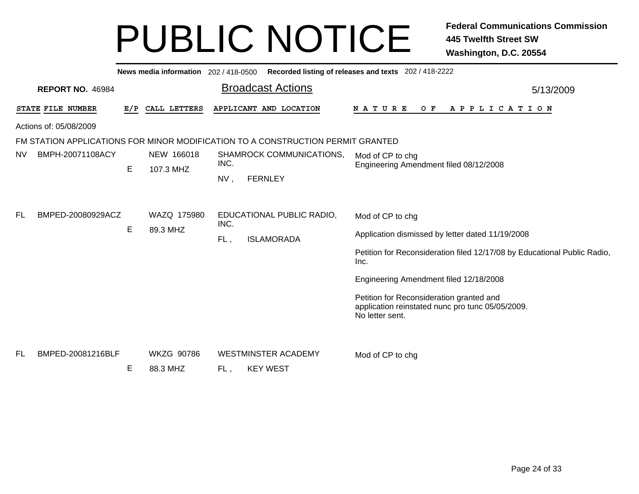|           |                         |     | News media information 202/418-0500 |      |                                                                                 | Recorded listing of releases and texts 202 / 418-2222                                                           |  |
|-----------|-------------------------|-----|-------------------------------------|------|---------------------------------------------------------------------------------|-----------------------------------------------------------------------------------------------------------------|--|
|           | <b>REPORT NO. 46984</b> |     |                                     |      | <b>Broadcast Actions</b>                                                        | 5/13/2009                                                                                                       |  |
|           | STATE FILE NUMBER       | E/P | CALL LETTERS                        |      | APPLICANT AND LOCATION                                                          | <b>NATURE</b><br>O F<br>A P P L I C A T I O N                                                                   |  |
|           | Actions of: 05/08/2009  |     |                                     |      |                                                                                 |                                                                                                                 |  |
|           |                         |     |                                     |      | FM STATION APPLICATIONS FOR MINOR MODIFICATION TO A CONSTRUCTION PERMIT GRANTED |                                                                                                                 |  |
| <b>NV</b> | BMPH-20071108ACY        |     | NEW 166018                          |      | SHAMROCK COMMUNICATIONS,                                                        | Mod of CP to chg                                                                                                |  |
|           |                         | E   | 107.3 MHZ                           | INC. |                                                                                 | Engineering Amendment filed 08/12/2008                                                                          |  |
|           |                         |     |                                     | NV,  | <b>FERNLEY</b>                                                                  |                                                                                                                 |  |
| FL        | BMPED-20080929ACZ       |     | WAZQ 175980                         | INC. | EDUCATIONAL PUBLIC RADIO,                                                       | Mod of CP to chg                                                                                                |  |
|           |                         | Е   | 89.3 MHZ                            | FL.  | <b>ISLAMORADA</b>                                                               | Application dismissed by letter dated 11/19/2008                                                                |  |
|           |                         |     |                                     |      |                                                                                 | Petition for Reconsideration filed 12/17/08 by Educational Public Radio,<br>Inc.                                |  |
|           |                         |     |                                     |      |                                                                                 | Engineering Amendment filed 12/18/2008                                                                          |  |
|           |                         |     |                                     |      |                                                                                 | Petition for Reconsideration granted and<br>application reinstated nunc pro tunc 05/05/2009.<br>No letter sent. |  |
| <b>FL</b> | BMPED-20081216BLF       |     | <b>WKZG 90786</b>                   |      | <b>WESTMINSTER ACADEMY</b>                                                      | Mod of CP to chg                                                                                                |  |
|           |                         | Е   | 88.3 MHZ                            | FL,  | <b>KEY WEST</b>                                                                 |                                                                                                                 |  |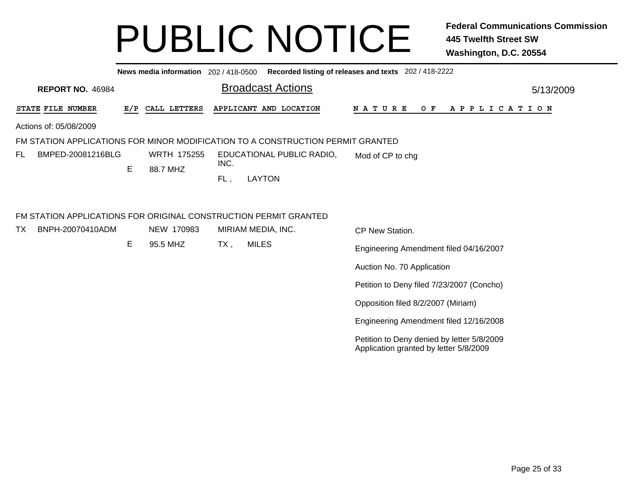|                                                                  |     |                    |      | News media information 202 / 418-0500 Recorded listing of releases and texts 202 / 418-2222 |                                                                                      |           |
|------------------------------------------------------------------|-----|--------------------|------|---------------------------------------------------------------------------------------------|--------------------------------------------------------------------------------------|-----------|
| <b>REPORT NO. 46984</b>                                          |     |                    |      | <b>Broadcast Actions</b>                                                                    |                                                                                      | 5/13/2009 |
| STATE FILE NUMBER                                                | E/P | CALL LETTERS       |      | APPLICANT AND LOCATION                                                                      | <b>NATURE</b><br>O F<br>A P P L I C A T I O N                                        |           |
| Actions of: 05/08/2009                                           |     |                    |      |                                                                                             |                                                                                      |           |
|                                                                  |     |                    |      | FM STATION APPLICATIONS FOR MINOR MODIFICATION TO A CONSTRUCTION PERMIT GRANTED             |                                                                                      |           |
| FL.<br>BMPED-20081216BLG                                         |     | <b>WRTH 175255</b> | INC. | EDUCATIONAL PUBLIC RADIO,                                                                   | Mod of CP to chg                                                                     |           |
|                                                                  | Е   | 88.7 MHZ           | FL,  | <b>LAYTON</b>                                                                               |                                                                                      |           |
|                                                                  |     |                    |      |                                                                                             |                                                                                      |           |
| FM STATION APPLICATIONS FOR ORIGINAL CONSTRUCTION PERMIT GRANTED |     |                    |      |                                                                                             |                                                                                      |           |
| TX<br>BNPH-20070410ADM                                           |     | NEW 170983         |      | MIRIAM MEDIA, INC.                                                                          | CP New Station.                                                                      |           |
|                                                                  | Е   | 95.5 MHZ           | TX,  | <b>MILES</b>                                                                                | Engineering Amendment filed 04/16/2007                                               |           |
|                                                                  |     |                    |      |                                                                                             | Auction No. 70 Application                                                           |           |
|                                                                  |     |                    |      |                                                                                             | Petition to Deny filed 7/23/2007 (Concho)                                            |           |
|                                                                  |     |                    |      |                                                                                             | Opposition filed 8/2/2007 (Miriam)                                                   |           |
|                                                                  |     |                    |      |                                                                                             | Engineering Amendment filed 12/16/2008                                               |           |
|                                                                  |     |                    |      |                                                                                             | Petition to Deny denied by letter 5/8/2009<br>Application granted by letter 5/8/2009 |           |
|                                                                  |     |                    |      |                                                                                             |                                                                                      |           |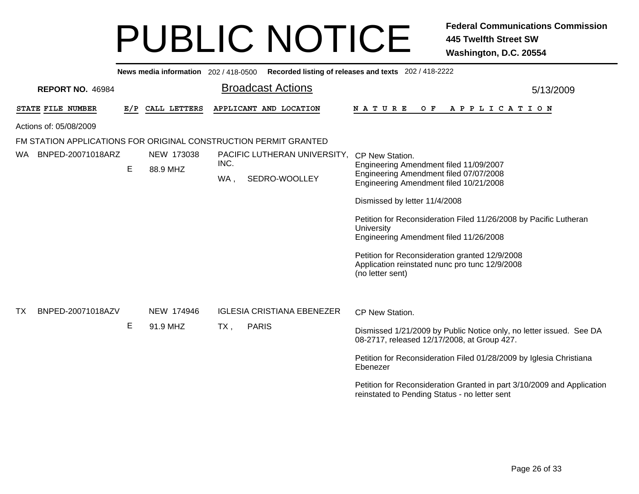|    |                                                                  |     | News media information 202/418-0500 |             |              |  |                                   | Recorded listing of releases and texts 202 / 418-2222                                                                      |           |  |  |  |
|----|------------------------------------------------------------------|-----|-------------------------------------|-------------|--------------|--|-----------------------------------|----------------------------------------------------------------------------------------------------------------------------|-----------|--|--|--|
|    | <b>REPORT NO. 46984</b>                                          |     |                                     |             |              |  | <b>Broadcast Actions</b>          |                                                                                                                            | 5/13/2009 |  |  |  |
|    | STATE FILE NUMBER                                                | E/P | CALL LETTERS                        |             |              |  | APPLICANT AND LOCATION            | $O$ $F$<br><b>NATURE</b><br>A P P L I C A T I O N                                                                          |           |  |  |  |
|    | Actions of: 05/08/2009                                           |     |                                     |             |              |  |                                   |                                                                                                                            |           |  |  |  |
|    | FM STATION APPLICATIONS FOR ORIGINAL CONSTRUCTION PERMIT GRANTED |     |                                     |             |              |  |                                   |                                                                                                                            |           |  |  |  |
| WA | BNPED-20071018ARZ                                                |     | NEW 173038                          |             |              |  | PACIFIC LUTHERAN UNIVERSITY,      | CP New Station.                                                                                                            |           |  |  |  |
|    |                                                                  | Е   | 88.9 MHZ                            | INC.<br>WA, |              |  | SEDRO-WOOLLEY                     | Engineering Amendment filed 11/09/2007<br>Engineering Amendment filed 07/07/2008<br>Engineering Amendment filed 10/21/2008 |           |  |  |  |
|    |                                                                  |     |                                     |             |              |  |                                   | Dismissed by letter 11/4/2008                                                                                              |           |  |  |  |
|    |                                                                  |     |                                     |             |              |  |                                   | Petition for Reconsideration Filed 11/26/2008 by Pacific Lutheran<br>University<br>Engineering Amendment filed 11/26/2008  |           |  |  |  |
|    |                                                                  |     |                                     |             |              |  |                                   | Petition for Reconsideration granted 12/9/2008<br>Application reinstated nunc pro tunc 12/9/2008<br>(no letter sent)       |           |  |  |  |
|    |                                                                  |     |                                     |             |              |  |                                   |                                                                                                                            |           |  |  |  |
| TX | BNPED-20071018AZV                                                |     | NEW 174946                          |             |              |  | <b>IGLESIA CRISTIANA EBENEZER</b> | CP New Station.                                                                                                            |           |  |  |  |
|    |                                                                  | Е   | 91.9 MHZ                            | TX,         | <b>PARIS</b> |  |                                   | Dismissed 1/21/2009 by Public Notice only, no letter issued. See DA<br>08-2717, released 12/17/2008, at Group 427.         |           |  |  |  |
|    |                                                                  |     |                                     |             |              |  |                                   | Petition for Reconsideration Filed 01/28/2009 by Iglesia Christiana<br>Ebenezer                                            |           |  |  |  |
|    |                                                                  |     |                                     |             |              |  |                                   | Petition for Reconsideration Granted in part 3/10/2009 and Application<br>reinstated to Pending Status - no letter sent    |           |  |  |  |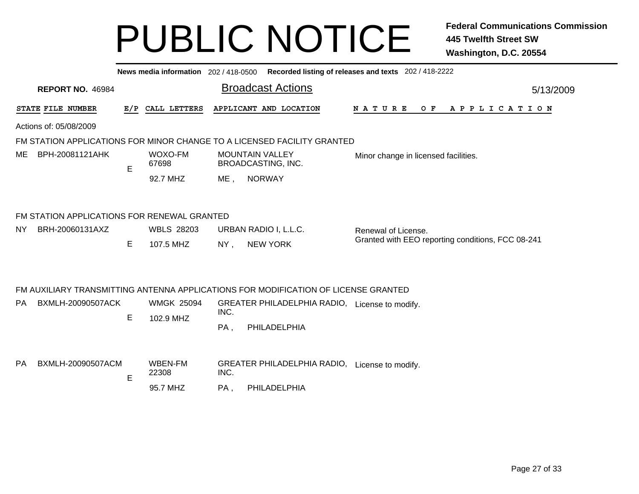|           |                                             |    |                                |                        | News media information 202 / 418-0500 Recorded listing of releases and texts 202 / 418-2222 |                                                   |  |  |                |  |  |  |           |  |
|-----------|---------------------------------------------|----|--------------------------------|------------------------|---------------------------------------------------------------------------------------------|---------------------------------------------------|--|--|----------------|--|--|--|-----------|--|
|           | <b>REPORT NO. 46984</b>                     |    |                                |                        | <b>Broadcast Actions</b>                                                                    |                                                   |  |  |                |  |  |  | 5/13/2009 |  |
|           | STATE FILE NUMBER                           |    | E/P CALL LETTERS               |                        | APPLICANT AND LOCATION                                                                      | N A T U R E                                       |  |  | OF APPLICATION |  |  |  |           |  |
|           | Actions of: 05/08/2009                      |    |                                |                        |                                                                                             |                                                   |  |  |                |  |  |  |           |  |
|           |                                             |    |                                |                        | FM STATION APPLICATIONS FOR MINOR CHANGE TO A LICENSED FACILITY GRANTED                     |                                                   |  |  |                |  |  |  |           |  |
| ME        | BPH-20081121AHK                             | E  | WOXO-FM<br>67698               | <b>MOUNTAIN VALLEY</b> | BROADCASTING, INC.                                                                          | Minor change in licensed facilities.              |  |  |                |  |  |  |           |  |
|           |                                             |    | 92.7 MHZ                       | ME,                    | <b>NORWAY</b>                                                                               |                                                   |  |  |                |  |  |  |           |  |
|           | FM STATION APPLICATIONS FOR RENEWAL GRANTED |    |                                |                        |                                                                                             |                                                   |  |  |                |  |  |  |           |  |
| <b>NY</b> | BRH-20060131AXZ                             |    | <b>WBLS 28203</b>              |                        | URBAN RADIO I, L.L.C.                                                                       | Renewal of License.                               |  |  |                |  |  |  |           |  |
|           |                                             | E. | 107.5 MHZ                      | NY,                    | <b>NEW YORK</b>                                                                             | Granted with EEO reporting conditions, FCC 08-241 |  |  |                |  |  |  |           |  |
|           |                                             |    |                                |                        | FM AUXILIARY TRANSMITTING ANTENNA APPLICATIONS FOR MODIFICATION OF LICENSE GRANTED          |                                                   |  |  |                |  |  |  |           |  |
| PA        | BXMLH-20090507ACK                           | Е  | <b>WMGK 25094</b><br>102.9 MHZ | INC.                   | GREATER PHILADELPHIA RADIO, License to modify.                                              |                                                   |  |  |                |  |  |  |           |  |
|           |                                             |    |                                | PA,                    | PHILADELPHIA                                                                                |                                                   |  |  |                |  |  |  |           |  |
| <b>PA</b> | BXMLH-20090507ACM                           | E  | <b>WBEN-FM</b><br>22308        | INC.                   | GREATER PHILADELPHIA RADIO, License to modify.                                              |                                                   |  |  |                |  |  |  |           |  |
|           |                                             |    | 95.7 MHZ                       | PA,                    | PHILADELPHIA                                                                                |                                                   |  |  |                |  |  |  |           |  |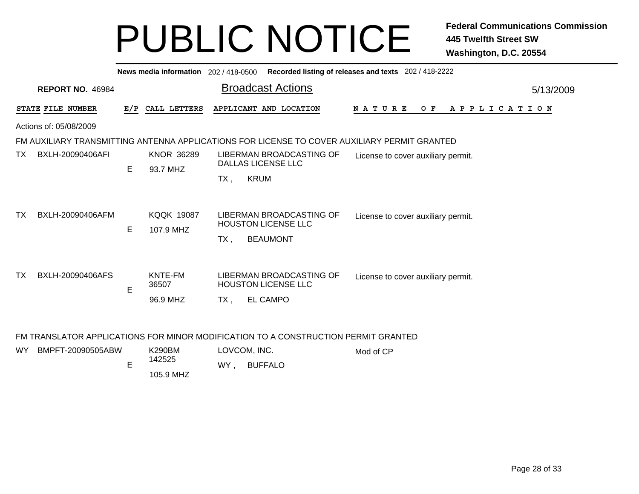, BUFFALO

|     |                                                                                                         |     |                                |        |                              | News media information 202/418-0500 Recorded listing of releases and texts 202/418-2222 |                                    |     |                       |           |
|-----|---------------------------------------------------------------------------------------------------------|-----|--------------------------------|--------|------------------------------|-----------------------------------------------------------------------------------------|------------------------------------|-----|-----------------------|-----------|
|     | <b>REPORT NO. 46984</b>                                                                                 |     |                                |        |                              | <b>Broadcast Actions</b>                                                                |                                    |     |                       | 5/13/2009 |
|     | STATE FILE NUMBER                                                                                       | E/P | CALL LETTERS                   |        |                              | APPLICANT AND LOCATION                                                                  | <b>NATURE</b>                      | O F | A P P L I C A T I O N |           |
|     | Actions of: 05/08/2009                                                                                  |     |                                |        |                              |                                                                                         |                                    |     |                       |           |
|     | FM AUXILIARY TRANSMITTING ANTENNA APPLICATIONS FOR LICENSE TO COVER AUXILIARY PERMIT GRANTED            |     |                                |        |                              |                                                                                         |                                    |     |                       |           |
| TX  | BXLH-20090406AFI                                                                                        | Е   | <b>KNOR 36289</b><br>93.7 MHZ  | TX,    | <b>KRUM</b>                  | LIBERMAN BROADCASTING OF<br><b>DALLAS LICENSE LLC</b>                                   | License to cover auxiliary permit. |     |                       |           |
| TX  | BXLH-20090406AFM                                                                                        | E.  | <b>KQQK 19087</b><br>107.9 MHZ | TX .   |                              | LIBERMAN BROADCASTING OF<br><b>HOUSTON LICENSE LLC</b><br><b>BEAUMONT</b>               | License to cover auxiliary permit. |     |                       |           |
| TX  | BXLH-20090406AFS                                                                                        | E   | KNTE-FM<br>36507<br>96.9 MHZ   | $TX$ , |                              | LIBERMAN BROADCASTING OF<br><b>HOUSTON LICENSE LLC</b><br><b>EL CAMPO</b>               | License to cover auxiliary permit. |     |                       |           |
| WY. | FM TRANSLATOR APPLICATIONS FOR MINOR MODIFICATION TO A CONSTRUCTION PERMIT GRANTED<br>BMPFT-20090505ABW | E   | <b>K290BM</b><br>142525        |        | LOVCOM, INC.<br>WY . BUFFALO |                                                                                         | Mod of CP                          |     |                       |           |

105.9 MHZ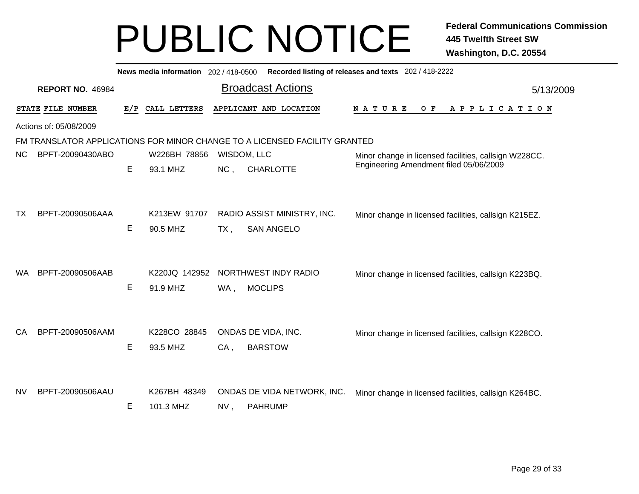|           |                                                                            |     | News media information 202 / 418-0500 |             |                                                  | Recorded listing of releases and texts 202 / 418-2222 |           |  |  |  |  |  |
|-----------|----------------------------------------------------------------------------|-----|---------------------------------------|-------------|--------------------------------------------------|-------------------------------------------------------|-----------|--|--|--|--|--|
|           | <b>REPORT NO. 46984</b>                                                    |     |                                       |             | <b>Broadcast Actions</b>                         |                                                       | 5/13/2009 |  |  |  |  |  |
|           | STATE FILE NUMBER                                                          | E/P | CALL LETTERS                          |             | APPLICANT AND LOCATION                           | N A T U R E<br>O F<br>A P P L I C A T I O N           |           |  |  |  |  |  |
|           | Actions of: 05/08/2009                                                     |     |                                       |             |                                                  |                                                       |           |  |  |  |  |  |
|           | FM TRANSLATOR APPLICATIONS FOR MINOR CHANGE TO A LICENSED FACILITY GRANTED |     |                                       |             |                                                  |                                                       |           |  |  |  |  |  |
| NC.       | BPFT-20090430ABO                                                           |     | W226BH 78856                          | WISDOM, LLC |                                                  | Minor change in licensed facilities, callsign W228CC. |           |  |  |  |  |  |
|           |                                                                            | E   | 93.1 MHZ                              | NC,         | <b>CHARLOTTE</b>                                 | Engineering Amendment filed 05/06/2009                |           |  |  |  |  |  |
| TХ        | BPFT-20090506AAA                                                           | E   | K213EW 91707<br>90.5 MHZ              | $TX$ ,      | RADIO ASSIST MINISTRY, INC.<br><b>SAN ANGELO</b> | Minor change in licensed facilities, callsign K215EZ. |           |  |  |  |  |  |
| WA.       | BPFT-20090506AAB                                                           | E   | K220JQ 142952<br>91.9 MHZ             | WA,         | NORTHWEST INDY RADIO<br><b>MOCLIPS</b>           | Minor change in licensed facilities, callsign K223BQ. |           |  |  |  |  |  |
| CA        | BPFT-20090506AAM                                                           | E   | K228CO 28845<br>93.5 MHZ              | CA,         | ONDAS DE VIDA, INC.<br><b>BARSTOW</b>            | Minor change in licensed facilities, callsign K228CO. |           |  |  |  |  |  |
| <b>NV</b> | BPFT-20090506AAU                                                           | Е   | K267BH 48349<br>101.3 MHZ             | NV,         | ONDAS DE VIDA NETWORK, INC.<br><b>PAHRUMP</b>    | Minor change in licensed facilities, callsign K264BC. |           |  |  |  |  |  |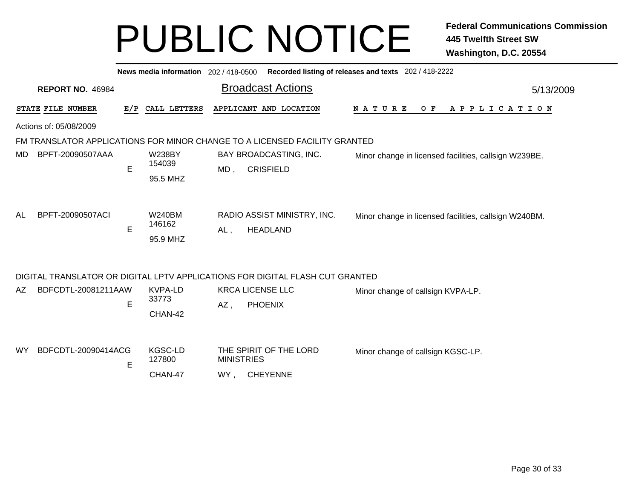|                                                                            |     | News media information 202 / 418-0500 |                   |                                                                               | Recorded listing of releases and texts 202 / 418-2222 |                       |           |  |  |  |  |  |
|----------------------------------------------------------------------------|-----|---------------------------------------|-------------------|-------------------------------------------------------------------------------|-------------------------------------------------------|-----------------------|-----------|--|--|--|--|--|
| <b>REPORT NO. 46984</b>                                                    |     |                                       |                   | <b>Broadcast Actions</b>                                                      |                                                       |                       | 5/13/2009 |  |  |  |  |  |
| STATE FILE NUMBER                                                          | E/P | CALL LETTERS                          |                   | APPLICANT AND LOCATION                                                        | <b>NATURE</b><br>O F                                  | A P P L I C A T I O N |           |  |  |  |  |  |
| Actions of: 05/08/2009                                                     |     |                                       |                   |                                                                               |                                                       |                       |           |  |  |  |  |  |
| FM TRANSLATOR APPLICATIONS FOR MINOR CHANGE TO A LICENSED FACILITY GRANTED |     |                                       |                   |                                                                               |                                                       |                       |           |  |  |  |  |  |
| BPFT-20090507AAA<br>MD                                                     |     | <b>W238BY</b>                         |                   | BAY BROADCASTING, INC.                                                        | Minor change in licensed facilities, callsign W239BE. |                       |           |  |  |  |  |  |
|                                                                            | E   | 154039                                | MD,               | <b>CRISFIELD</b>                                                              |                                                       |                       |           |  |  |  |  |  |
|                                                                            |     | 95.5 MHZ                              |                   |                                                                               |                                                       |                       |           |  |  |  |  |  |
|                                                                            |     |                                       |                   |                                                                               |                                                       |                       |           |  |  |  |  |  |
| BPFT-20090507ACI<br>AL                                                     |     | <b>W240BM</b>                         |                   | RADIO ASSIST MINISTRY, INC.                                                   | Minor change in licensed facilities, callsign W240BM. |                       |           |  |  |  |  |  |
|                                                                            | E   | 146162                                | AL,               | <b>HEADLAND</b>                                                               |                                                       |                       |           |  |  |  |  |  |
|                                                                            |     | 95.9 MHZ                              |                   |                                                                               |                                                       |                       |           |  |  |  |  |  |
|                                                                            |     |                                       |                   |                                                                               |                                                       |                       |           |  |  |  |  |  |
|                                                                            |     |                                       |                   | DIGITAL TRANSLATOR OR DIGITAL LPTV APPLICATIONS FOR DIGITAL FLASH CUT GRANTED |                                                       |                       |           |  |  |  |  |  |
| BDFCDTL-20081211AAW<br>AZ.                                                 |     | KVPA-LD                               |                   | <b>KRCA LICENSE LLC</b>                                                       | Minor change of callsign KVPA-LP.                     |                       |           |  |  |  |  |  |
|                                                                            | E   | 33773                                 | $AZ$ ,            | <b>PHOENIX</b>                                                                |                                                       |                       |           |  |  |  |  |  |
|                                                                            |     | CHAN-42                               |                   |                                                                               |                                                       |                       |           |  |  |  |  |  |
|                                                                            |     |                                       |                   |                                                                               |                                                       |                       |           |  |  |  |  |  |
| BDFCDTL-20090414ACG<br><b>WY</b>                                           |     | <b>KGSC-LD</b>                        |                   | THE SPIRIT OF THE LORD                                                        | Minor change of callsign KGSC-LP.                     |                       |           |  |  |  |  |  |
|                                                                            | E   | 127800                                | <b>MINISTRIES</b> |                                                                               |                                                       |                       |           |  |  |  |  |  |
|                                                                            |     | CHAN-47                               | WY.               | <b>CHEYENNE</b>                                                               |                                                       |                       |           |  |  |  |  |  |
|                                                                            |     |                                       |                   |                                                                               |                                                       |                       |           |  |  |  |  |  |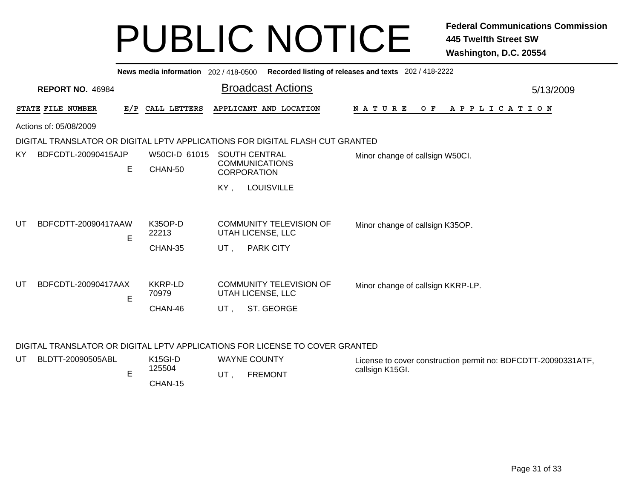|                                | News media information 202 / 418-0500 |                                                                               | Recorded listing of releases and texts 202 / 418-2222 |           |
|--------------------------------|---------------------------------------|-------------------------------------------------------------------------------|-------------------------------------------------------|-----------|
| <b>REPORT NO. 46984</b>        |                                       | <b>Broadcast Actions</b>                                                      |                                                       | 5/13/2009 |
| STATE FILE NUMBER<br>E/P       | CALL LETTERS                          | APPLICANT AND LOCATION                                                        | O F<br>A P P L I C A T I O N<br><b>NATURE</b>         |           |
| Actions of: 05/08/2009         |                                       |                                                                               |                                                       |           |
|                                |                                       | DIGITAL TRANSLATOR OR DIGITAL LPTV APPLICATIONS FOR DIGITAL FLASH CUT GRANTED |                                                       |           |
| BDFCDTL-20090415AJP<br>KY.     | W50CI-D 61015                         | <b>SOUTH CENTRAL</b>                                                          | Minor change of callsign W50Cl.                       |           |
| E.                             | CHAN-50                               | <b>COMMUNICATIONS</b><br><b>CORPORATION</b>                                   |                                                       |           |
|                                |                                       | <b>LOUISVILLE</b><br>KY,                                                      |                                                       |           |
|                                |                                       |                                                                               |                                                       |           |
| UT<br>BDFCDTT-20090417AAW<br>E | K35OP-D<br>22213                      | <b>COMMUNITY TELEVISION OF</b><br>UTAH LICENSE, LLC                           | Minor change of callsign K35OP.                       |           |
|                                | CHAN-35                               | <b>PARK CITY</b><br>UT,                                                       |                                                       |           |
|                                |                                       |                                                                               |                                                       |           |
| BDFCDTL-20090417AAX<br>UT      | <b>KKRP-LD</b><br>70979               | <b>COMMUNITY TELEVISION OF</b><br>UTAH LICENSE, LLC                           | Minor change of callsign KKRP-LP.                     |           |
| E                              |                                       |                                                                               |                                                       |           |
|                                | CHAN-46                               | ST. GEORGE<br>UT,                                                             |                                                       |           |
|                                |                                       |                                                                               |                                                       |           |

#### DIGITAL TRANSLATOR OR DIGITAL LPTV APPLICATIONS FOR LICENSE TO COVER GRANTED

| UT | BLDTT-20090505ABL | $K15GI-D$ | <b>WAYNE COUNTY</b> | License to cover construction permit no: BDFCDTT-20090331ATF, |
|----|-------------------|-----------|---------------------|---------------------------------------------------------------|
|    |                   | 125504    | <b>FREMONT</b>      | callsign K15GI.                                               |
|    |                   | CHAN-15   |                     |                                                               |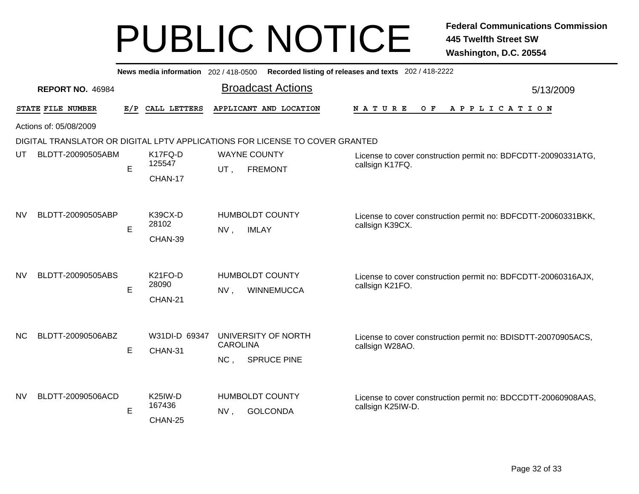|           |                                                                              |     | News media information 202 / 418-0500     | Recorded listing of releases and texts 202 / 418-2222                                                                                                   |           |  |  |  |  |  |  |  |  |
|-----------|------------------------------------------------------------------------------|-----|-------------------------------------------|---------------------------------------------------------------------------------------------------------------------------------------------------------|-----------|--|--|--|--|--|--|--|--|
|           | <b>REPORT NO. 46984</b>                                                      |     |                                           | <b>Broadcast Actions</b>                                                                                                                                | 5/13/2009 |  |  |  |  |  |  |  |  |
|           | STATE FILE NUMBER                                                            | E/P | CALL LETTERS                              | APPLICANT AND LOCATION<br><b>NATURE</b><br>O F<br>APPLICATION                                                                                           |           |  |  |  |  |  |  |  |  |
|           | Actions of: 05/08/2009                                                       |     |                                           |                                                                                                                                                         |           |  |  |  |  |  |  |  |  |
|           | DIGITAL TRANSLATOR OR DIGITAL LPTV APPLICATIONS FOR LICENSE TO COVER GRANTED |     |                                           |                                                                                                                                                         |           |  |  |  |  |  |  |  |  |
| UT        | BLDTT-20090505ABM                                                            | E   | K17FQ-D<br>125547                         | <b>WAYNE COUNTY</b><br>License to cover construction permit no: BDFCDTT-20090331ATG,<br>callsign K17FQ.<br><b>FREMONT</b><br>UT,                        |           |  |  |  |  |  |  |  |  |
|           |                                                                              |     | CHAN-17                                   |                                                                                                                                                         |           |  |  |  |  |  |  |  |  |
| <b>NV</b> | BLDTT-20090505ABP                                                            |     | K39CX-D                                   | <b>HUMBOLDT COUNTY</b>                                                                                                                                  |           |  |  |  |  |  |  |  |  |
|           |                                                                              | E   | 28102                                     | License to cover construction permit no: BDFCDTT-20060331BKK,<br>callsign K39CX.<br>NV,<br><b>IMLAY</b>                                                 |           |  |  |  |  |  |  |  |  |
|           |                                                                              |     | CHAN-39                                   |                                                                                                                                                         |           |  |  |  |  |  |  |  |  |
| <b>NV</b> | BLDTT-20090505ABS                                                            | E   | K21FO-D<br>28090<br>CHAN-21               | <b>HUMBOLDT COUNTY</b><br>License to cover construction permit no: BDFCDTT-20060316AJX,<br>callsign K21FO.<br><b>WINNEMUCCA</b><br>NV,                  |           |  |  |  |  |  |  |  |  |
| <b>NC</b> | BLDTT-20090506ABZ                                                            | E   | W31DI-D 69347<br>CHAN-31                  | UNIVERSITY OF NORTH<br>License to cover construction permit no: BDISDTT-20070905ACS,<br><b>CAROLINA</b><br>callsign W28AO.<br>NC,<br><b>SPRUCE PINE</b> |           |  |  |  |  |  |  |  |  |
| <b>NV</b> | BLDTT-20090506ACD                                                            | E   | K <sub>25</sub> IW-D<br>167436<br>CHAN-25 | <b>HUMBOLDT COUNTY</b><br>License to cover construction permit no: BDCCDTT-20060908AAS,<br>callsign K25IW-D.<br><b>GOLCONDA</b><br>NV,                  |           |  |  |  |  |  |  |  |  |